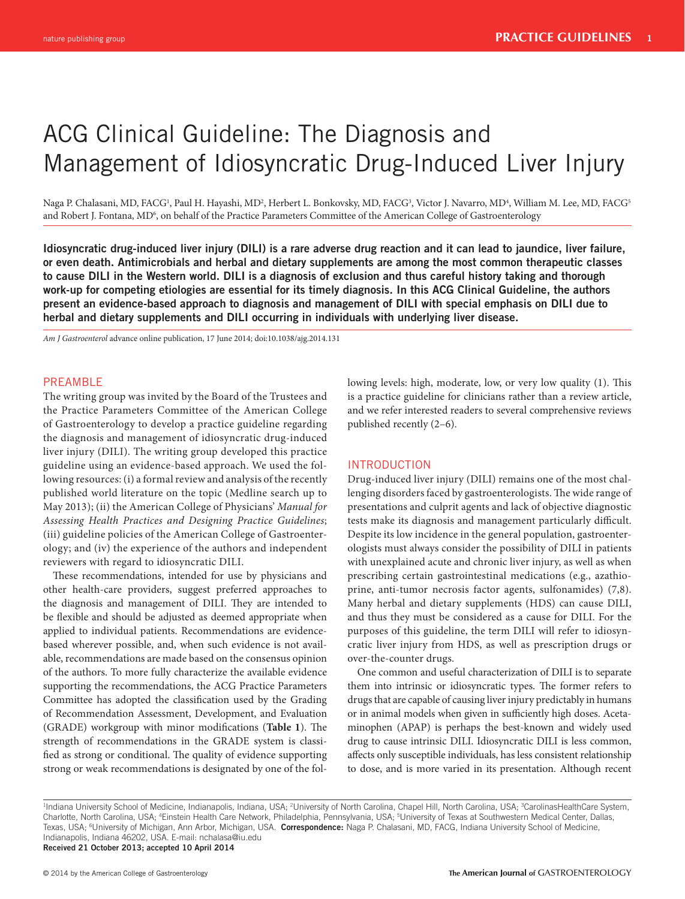# ACG Clinical Guideline: The Diagnosis and Management of Idiosyncratic Drug-Induced Liver Injury

Naga P. Chalasani, MD, FACG<sup>1</sup>, Paul H. Hayashi, MD<sup>2</sup>, Herbert L. Bonkovsky, MD, FACG<sup>3</sup>, Victor J. Navarro, MD<sup>4</sup>, William M. Lee, MD, FACG<sup>5</sup> and Robert J. Fontana, MD<sup>6</sup>, on behalf of the Practice Parameters Committee of the American College of Gastroenterology

**Idiosyncratic drug-induced liver injury (DILI) is a rare adverse drug reaction and it can lead to jaundice, liver failure, or even death. Antimicrobials and herbal and dietary supplements are among the most common therapeutic classes to cause DILI in the Western world. DILI is a diagnosis of exclusion and thus careful history taking and thorough work-up for competing etiologies are essential for its timely diagnosis. In this ACG Clinical Guideline, the authors present an evidence-based approach to diagnosis and management of DILI with special emphasis on DILI due to herbal and dietary supplements and DILI occurring in individuals with underlying liver disease.** 

*Am J Gastroenterol* advance online publication, 17 June 2014; doi: 10.1038/ajg.2014.131

# PREAMBLE

 The writing group was invited by the Board of the Trustees and the Practice Parameters Committee of the American College of Gastroenterology to develop a practice guideline regarding the diagnosis and management of idiosyncratic drug-induced liver injury (DILI). The writing group developed this practice guideline using an evidence-based approach. We used the following resources: (i) a formal review and analysis of the recently published world literature on the topic (Medline search up to May 2013); (ii) the American College of Physicians ' *Manual for Assessing Health Practices and Designing Practice Guidelines* ; (iii) guideline policies of the American College of Gastroenterology; and (iv) the experience of the authors and independent reviewers with regard to idiosyncratic DILI.

These recommendations, intended for use by physicians and other health-care providers, suggest preferred approaches to the diagnosis and management of DILI. They are intended to be flexible and should be adjusted as deemed appropriate when applied to individual patients. Recommendations are evidencebased wherever possible, and, when such evidence is not available, recommendations are made based on the consensus opinion of the authors. To more fully characterize the available evidence supporting the recommendations, the ACG Practice Parameters Committee has adopted the classification used by the Grading of Recommendation Assessment, Development, and Evaluation (GRADE) workgroup with minor modifications (**Table 1**). The strength of recommendations in the GRADE system is classified as strong or conditional. The quality of evidence supporting strong or weak recommendations is designated by one of the following levels: high, moderate, low, or very low quality (1). This is a practice guideline for clinicians rather than a review article, and we refer interested readers to several comprehensive reviews published recently (2-6).

### INTRODUCTION

 Drug-induced liver injury (DILI) remains one of the most challenging disorders faced by gastroenterologists. The wide range of presentations and culprit agents and lack of objective diagnostic tests make its diagnosis and management particularly difficult. Despite its low incidence in the general population, gastroenterologists must always consider the possibility of DILI in patients with unexplained acute and chronic liver injury, as well as when prescribing certain gastrointestinal medications (e.g., azathioprine, anti-tumor necrosis factor agents, sulfonamides) (7,8). Many herbal and dietary supplements (HDS) can cause DILI, and thus they must be considered as a cause for DILI. For the purposes of this guideline, the term DILI will refer to idiosyncratic liver injury from HDS, as well as prescription drugs or over-the-counter drugs.

 One common and useful characterization of DILI is to separate them into intrinsic or idiosyncratic types. The former refers to drugs that are capable of causing liver injury predictably in humans or in animal models when given in sufficiently high doses. Acetaminophen (APAP) is perhaps the best-known and widely used drug to cause intrinsic DILI. Idiosyncratic DILI is less common, affects only susceptible individuals, has less consistent relationship to dose, and is more varied in its presentation. Although recent

**Received 21 October 2013; accepted 10 April 2014** 

<sup>&</sup>lt;sup>1</sup>Indiana University School of Medicine, Indianapolis, Indiana, USA; <sup>2</sup>University of North Carolina, Chapel Hill, North Carolina, USA; <sup>3</sup>CarolinasHealthCare System, Charlotte, North Carolina, USA; <sup>4</sup>Einstein Health Care Network, Philadelphia, Pennsylvania, USA; <sup>5</sup>University of Texas at Southwestern Medical Center, Dallas, Texas, USA; <sup>6</sup>University of Michigan, Ann Arbor, Michigan, USA. Correspondence: Naga P. Chalasani, MD, FACG, Indiana University School of Medicine, Indianapolis , Indiana 46202 , USA . E-mail: nchalasa@iu.edu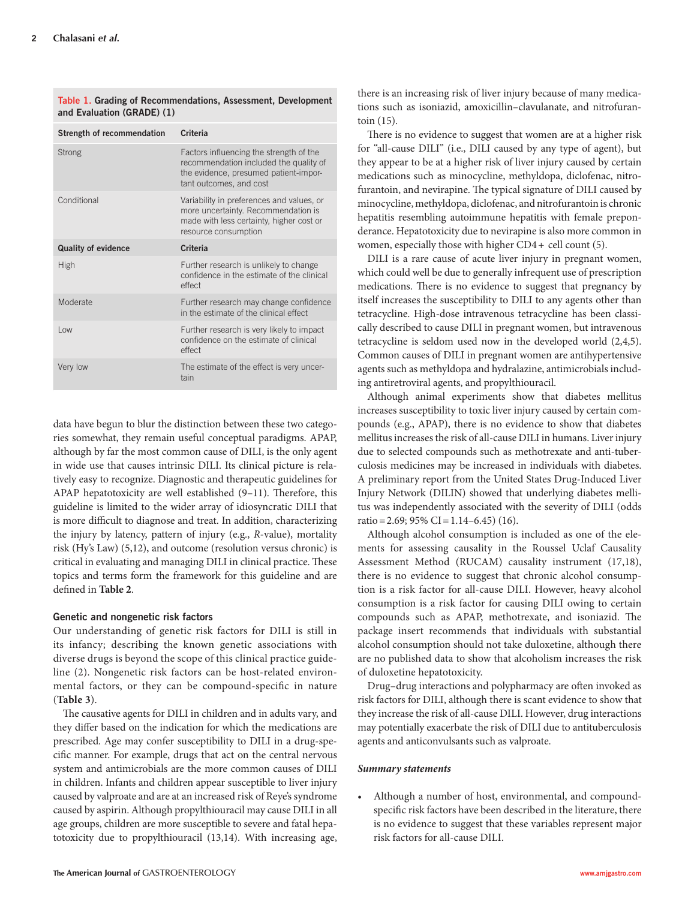#### **Table 1 . Grading of Recommendations, Assessment, Development**  and Evaluation (GRADE) (1)

| Strength of recommendation | Criteria                                                                                                                                              |
|----------------------------|-------------------------------------------------------------------------------------------------------------------------------------------------------|
| Strong                     | Factors influencing the strength of the<br>recommendation included the quality of<br>the evidence, presumed patient-impor-<br>tant outcomes, and cost |
| Conditional                | Variability in preferences and values, or<br>more uncertainty. Recommendation is<br>made with less certainty, higher cost or<br>resource consumption  |
| <b>Quality of evidence</b> | Criteria                                                                                                                                              |
| <b>High</b>                | Further research is unlikely to change<br>confidence in the estimate of the clinical<br>effect                                                        |
| Moderate                   | Further research may change confidence<br>in the estimate of the clinical effect                                                                      |
| $1$ $\alpha$               | Further research is very likely to impact<br>confidence on the estimate of clinical<br>effect                                                         |
| Very low                   | The estimate of the effect is very uncer-<br>tain                                                                                                     |

data have begun to blur the distinction between these two categories somewhat, they remain useful conceptual paradigms. APAP, although by far the most common cause of DILI, is the only agent in wide use that causes intrinsic DILI. Its clinical picture is relatively easy to recognize. Diagnostic and therapeutic guidelines for APAP hepatotoxicity are well established  $(9-11)$ . Therefore, this guideline is limited to the wider array of idiosyncratic DILI that is more difficult to diagnose and treat. In addition, characterizing the injury by latency, pattern of injury (e.g., *R* -value), mortality risk (Hy's Law)  $(5,12)$ , and outcome (resolution versus chronic) is critical in evaluating and managing DILI in clinical practice. These topics and terms form the framework for this guideline and are defined in Table 2.

# **Genetic and nongenetic risk factors**

 Our understanding of genetic risk factors for DILI is still in its infancy; describing the known genetic associations with diverse drugs is beyond the scope of this clinical practice guideline (2). Nongenetic risk factors can be host-related environmental factors, or they can be compound-specific in nature ( **Table 3** ).

The causative agents for DILI in children and in adults vary, and they differ based on the indication for which the medications are prescribed. Age may confer susceptibility to DILI in a drug-specific manner. For example, drugs that act on the central nervous system and antimicrobials are the more common causes of DILI in children. Infants and children appear susceptible to liver injury caused by valproate and are at an increased risk of Reye's syndrome caused by aspirin. Although propylthiouracil may cause DILI in all age groups, children are more susceptible to severe and fatal hepatotoxicity due to propylthiouracil (13,14). With increasing age,

there is an increasing risk of liver injury because of many medications such as isoniazid, amoxicillin – clavulanate, and nitrofurantoin  $(15)$ .

There is no evidence to suggest that women are at a higher risk for "all-cause DILI" (i.e., DILI caused by any type of agent), but they appear to be at a higher risk of liver injury caused by certain medications such as minocycline, methyldopa, diclofenac, nitrofurantoin, and nevirapine. The typical signature of DILI caused by minocycline, methyldopa, diclofenac, and nitrofurantoin is chronic hepatitis resembling autoimmune hepatitis with female preponderance. Hepatotoxicity due to nevirapine is also more common in women, especially those with higher  $CD4 +$  cell count (5).

 DILI is a rare cause of acute liver injury in pregnant women, which could well be due to generally infrequent use of prescription medications. There is no evidence to suggest that pregnancy by itself increases the susceptibility to DILI to any agents other than tetracycline. High-dose intravenous tetracycline has been classically described to cause DILI in pregnant women, but intravenous tetracycline is seldom used now in the developed world  $(2,4,5)$ . Common causes of DILI in pregnant women are antihypertensive agents such as methyldopa and hydralazine, antimicrobials including antiretroviral agents, and propylthiouracil.

 Although animal experiments show that diabetes mellitus increases susceptibility to toxic liver injury caused by certain compounds (e.g., APAP), there is no evidence to show that diabetes mellitus increases the risk of all-cause DILI in humans. Liver injury due to selected compounds such as methotrexate and anti-tuberculosis medicines may be increased in individuals with diabetes. A preliminary report from the United States Drug-Induced Liver Injury Network (DILIN) showed that underlying diabetes mellitus was independently associated with the severity of DILI (odds ratio = 2.69;  $95\%$  CI = 1.14–6.45) (16).

 Although alcohol consumption is included as one of the elements for assessing causality in the Roussel Uclaf Causality Assessment Method (RUCAM) causality instrument (17,18), there is no evidence to suggest that chronic alcohol consumption is a risk factor for all-cause DILI. However, heavy alcohol consumption is a risk factor for causing DILI owing to certain compounds such as APAP, methotrexate, and isoniazid. The package insert recommends that individuals with substantial alcohol consumption should not take duloxetine, although there are no published data to show that alcoholism increases the risk of duloxetine hepatotoxicity.

Drug-drug interactions and polypharmacy are often invoked as risk factors for DILI, although there is scant evidence to show that they increase the risk of all-cause DILI. However, drug interactions may potentially exacerbate the risk of DILI due to antituberculosis agents and anticonvulsants such as valproate.

#### *Summary statements*

 Although a number of host, environmental, and compoundspecific risk factors have been described in the literature, there is no evidence to suggest that these variables represent major risk factors for all-cause DILI. •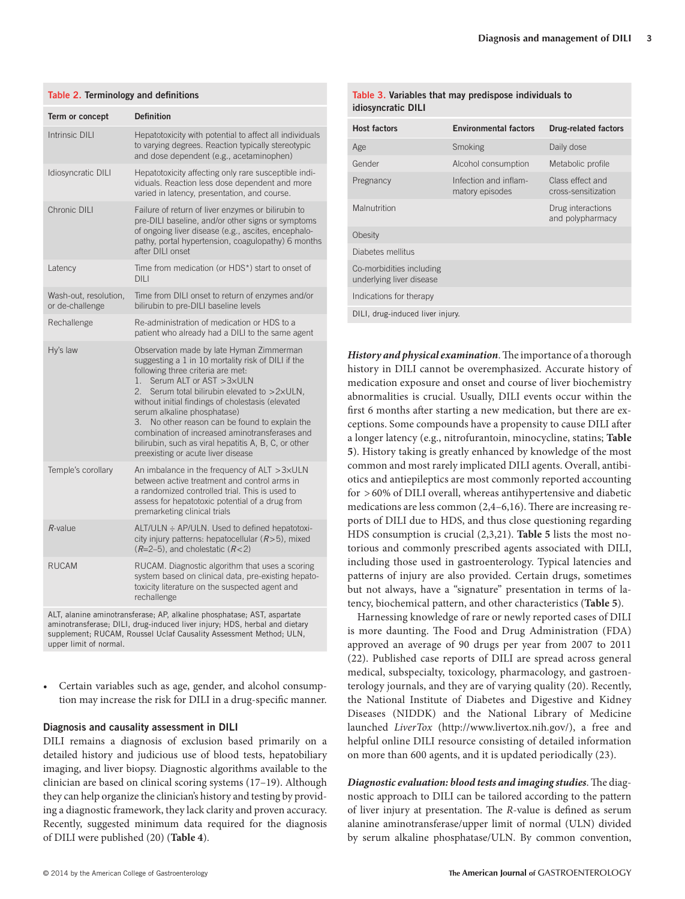#### **Table 2. Terminology and definitions**

| Term or concept                          | <b>Definition</b>                                                                                                                                                                                                                                                                                                                                                                                                                                                                                                                         |
|------------------------------------------|-------------------------------------------------------------------------------------------------------------------------------------------------------------------------------------------------------------------------------------------------------------------------------------------------------------------------------------------------------------------------------------------------------------------------------------------------------------------------------------------------------------------------------------------|
| Intrinsic DILI                           | Hepatotoxicity with potential to affect all individuals<br>to varying degrees. Reaction typically stereotypic<br>and dose dependent (e.g., acetaminophen)                                                                                                                                                                                                                                                                                                                                                                                 |
| <b>Idiosyncratic DILI</b>                | Hepatotoxicity affecting only rare susceptible indi-<br>viduals. Reaction less dose dependent and more<br>varied in latency, presentation, and course.                                                                                                                                                                                                                                                                                                                                                                                    |
| Chronic DILI                             | Failure of return of liver enzymes or bilirubin to<br>pre-DILI baseline, and/or other signs or symptoms<br>of ongoing liver disease (e.g., ascites, encephalo-<br>pathy, portal hypertension, coagulopathy) 6 months<br>after DILI onset                                                                                                                                                                                                                                                                                                  |
| Latency                                  | Time from medication (or HDS*) start to onset of<br><b>DILI</b>                                                                                                                                                                                                                                                                                                                                                                                                                                                                           |
| Wash-out, resolution,<br>or de-challenge | Time from DILI onset to return of enzymes and/or<br>bilirubin to pre-DILI baseline levels                                                                                                                                                                                                                                                                                                                                                                                                                                                 |
| Rechallenge                              | Re-administration of medication or HDS to a<br>patient who already had a DILI to the same agent                                                                                                                                                                                                                                                                                                                                                                                                                                           |
| Hy's law                                 | Observation made by late Hyman Zimmerman<br>suggesting a 1 in 10 mortality risk of DILI if the<br>following three criteria are met:<br>Serum ALT or AST > 3xULN<br>$1_{-}$<br>$\mathcal{P}$<br>Serum total bilirubin elevated to $>2\times$ ULN,<br>without initial findings of cholestasis (elevated<br>serum alkaline phosphatase)<br>No other reason can be found to explain the<br>3.<br>combination of increased aminotransferases and<br>bilirubin, such as viral hepatitis A, B, C, or other<br>preexisting or acute liver disease |
| Temple's corollary                       | An imbalance in the frequency of $ALT > 3 \times ULN$<br>between active treatment and control arms in<br>a randomized controlled trial. This is used to<br>assess for hepatotoxic potential of a drug from<br>premarketing clinical trials                                                                                                                                                                                                                                                                                                |
| $R$ -value                               | $ALT/ULN \div AP/ULN$ . Used to defined hepatotoxi-<br>city injury patterns: hepatocellular $(R>5)$ , mixed<br>$(R=2-5)$ , and cholestatic $(R<2)$                                                                                                                                                                                                                                                                                                                                                                                        |
| <b>RUCAM</b>                             | RUCAM. Diagnostic algorithm that uses a scoring<br>system based on clinical data, pre-existing hepato-<br>toxicity literature on the suspected agent and<br>rechallenge                                                                                                                                                                                                                                                                                                                                                                   |
|                                          | ALT alanine aminotransferase: AP alkaline phosphatase: AST aspartate                                                                                                                                                                                                                                                                                                                                                                                                                                                                      |

ALT, alanine aminotransferase; AP, alkaline phosphatase; AST, aspartate aminotransferase; DILI, drug-induced liver injury; HDS, herbal and dietary supplement; RUCAM, Roussel Uclaf Causality Assessment Method; ULN, upper limit of normal.

 Certain variables such as age, gender, and alcohol consumption may increase the risk for DILI in a drug-specific manner. •

#### **Diagnosis and causality assessment in DILI**

 DILI remains a diagnosis of exclusion based primarily on a detailed history and judicious use of blood tests, hepatobiliary imaging, and liver biopsy. Diagnostic algorithms available to the clinician are based on clinical scoring systems (17-19). Although they can help organize the clinician's history and testing by providing a diagnostic framework, they lack clarity and proven accuracy. Recently, suggested minimum data required for the diagnosis of DILI were published (20) (Table 4).

|                    |  | Table 3. Variables that may predispose individuals to |
|--------------------|--|-------------------------------------------------------|
| idiosyncratic DILI |  |                                                       |

| <b>Host factors</b>                                  | <b>Environmental factors</b>             | <b>Drug-related factors</b>             |
|------------------------------------------------------|------------------------------------------|-----------------------------------------|
| Age                                                  | Smoking                                  | Daily dose                              |
| Gender                                               | Alcohol consumption                      | Metabolic profile                       |
| Pregnancy                                            | Infection and inflam-<br>matory episodes | Class effect and<br>cross-sensitization |
| Malnutrition                                         |                                          | Drug interactions<br>and polypharmacy   |
| Obesity                                              |                                          |                                         |
| Diabetes mellitus                                    |                                          |                                         |
| Co-morbidities including<br>underlying liver disease |                                          |                                         |
| Indications for therapy                              |                                          |                                         |
| DILI, drug-induced liver injury.                     |                                          |                                         |

*History and physical examination*. The importance of a thorough history in DILI cannot be overemphasized. Accurate history of medication exposure and onset and course of liver biochemistry abnormalities is crucial. Usually, DILI events occur within the first 6 months after starting a new medication, but there are exceptions. Some compounds have a propensity to cause DILI after a longer latency (e.g., nitrofurantoin, mino cycline, statins; **Table 5** ). History taking is greatly enhanced by knowledge of the most common and most rarely implicated DILI agents. Overall, antibiotics and antiepileptics are most commonly reported accounting for  $>60\%$  of DILI overall, whereas antihypertensive and diabetic medications are less common  $(2,4-6,16)$ . There are increasing reports of DILI due to HDS, and thus close questioning regarding HDS consumption is crucial (2,3,21). Table 5 lists the most notorious and commonly prescribed agents associated with DILI, including those used in gastroenterology. Typical latencies and patterns of injury are also provided. Certain drugs, sometimes but not always, have a "signature" presentation in terms of latency, biochemical pattern, and other characteristics ( **Table 5** ).

 Harnessing knowledge of rare or newly reported cases of DILI is more daunting. The Food and Drug Administration (FDA) approved an average of 90 drugs per year from 2007 to 2011 (22). Published case reports of DILI are spread across general medical, subspecialty, toxicology, pharmacology, and gastroenterology journals, and they are of varying quality (20). Recently, the National Institute of Diabetes and Digestive and Kidney Diseases (NIDDK) and the National Library of Medicine launched *LiverTox* (http://www.livertox.nih.gov/), a free and helpful online DILI resource consisting of detailed information on more than 600 agents, and it is updated periodically (23).

*Diagnostic evaluation: blood tests and imaging studies*. The diagnostic approach to DILI can be tailored according to the pattern of liver injury at presentation. The *R*-value is defined as serum alanine aminotransferase/upper limit of normal (ULN) divided by serum alkaline phosphatase/ULN. By common convention,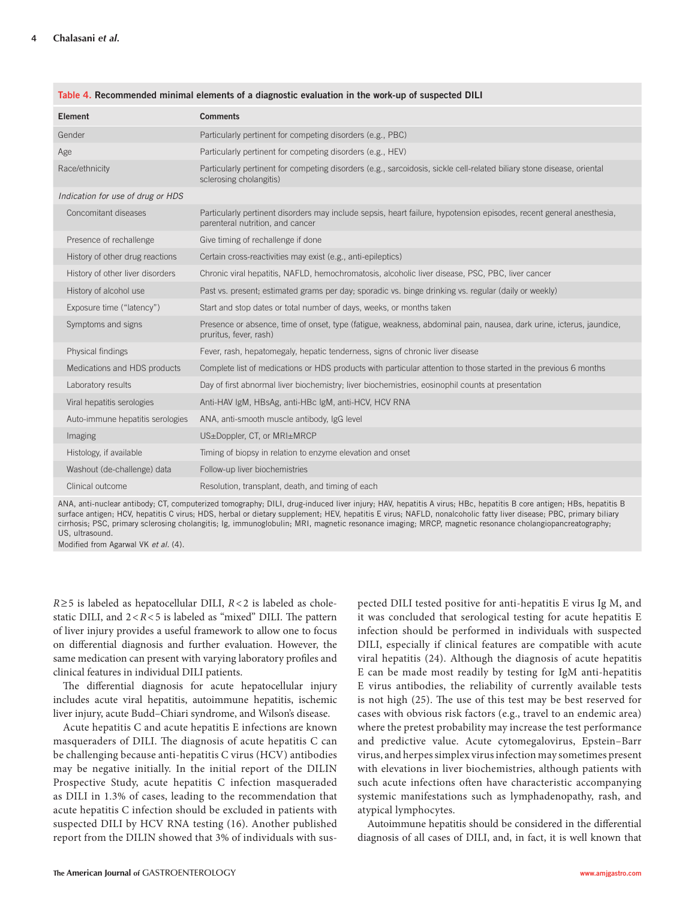| <b>Element</b>                    | <b>Comments</b>                                                                                                                                          |
|-----------------------------------|----------------------------------------------------------------------------------------------------------------------------------------------------------|
| Gender                            | Particularly pertinent for competing disorders (e.g., PBC)                                                                                               |
| Age                               | Particularly pertinent for competing disorders (e.g., HEV)                                                                                               |
| Race/ethnicity                    | Particularly pertinent for competing disorders (e.g., sarcoidosis, sickle cell-related biliary stone disease, oriental<br>sclerosing cholangitis)        |
| Indication for use of drug or HDS |                                                                                                                                                          |
| Concomitant diseases              | Particularly pertinent disorders may include sepsis, heart failure, hypotension episodes, recent general anesthesia,<br>parenteral nutrition, and cancer |
| Presence of rechallenge           | Give timing of rechallenge if done                                                                                                                       |
| History of other drug reactions   | Certain cross-reactivities may exist (e.g., anti-epileptics)                                                                                             |
| History of other liver disorders  | Chronic viral hepatitis, NAFLD, hemochromatosis, alcoholic liver disease, PSC, PBC, liver cancer                                                         |
| History of alcohol use            | Past vs. present; estimated grams per day; sporadic vs. binge drinking vs. regular (daily or weekly)                                                     |
| Exposure time ("latency")         | Start and stop dates or total number of days, weeks, or months taken                                                                                     |
| Symptoms and signs                | Presence or absence, time of onset, type (fatigue, weakness, abdominal pain, nausea, dark urine, icterus, jaundice,<br>pruritus, fever, rash)            |
| Physical findings                 | Fever, rash, hepatomegaly, hepatic tenderness, signs of chronic liver disease                                                                            |
| Medications and HDS products      | Complete list of medications or HDS products with particular attention to those started in the previous 6 months                                         |
| Laboratory results                | Day of first abnormal liver biochemistry; liver biochemistries, eosinophil counts at presentation                                                        |
| Viral hepatitis serologies        | Anti-HAV IgM, HBsAg, anti-HBc IgM, anti-HCV, HCV RNA                                                                                                     |
| Auto-immune hepatitis serologies  | ANA, anti-smooth muscle antibody, IgG level                                                                                                              |
| Imaging                           | US±Doppler, CT, or MRI±MRCP                                                                                                                              |
| Histology, if available           | Timing of biopsy in relation to enzyme elevation and onset                                                                                               |
| Washout (de-challenge) data       | Follow-up liver biochemistries                                                                                                                           |
| Clinical outcome                  | Resolution, transplant, death, and timing of each                                                                                                        |
|                                   |                                                                                                                                                          |

#### **Table 4 . Recommended minimal elements of a diagnostic evaluation in the work-up of suspected DILI**

ANA, anti-nuclear antibody; CT, computerized tomography; DILI, drug-induced liver injury; HAV, hepatitis A virus; HBc, hepatitis B core antigen; HBs, hepatitis B surface antigen; HCV, hepatitis C virus; HDS, herbal or dietary supplement; HEV, hepatitis E virus; NAFLD, nonalcoholic fatty liver disease; PBC, primary biliary cirrhosis; PSC, primary sclerosing cholangitis; Ig, immunoglobulin; MRI, magnetic resonance imaging; MRCP, magnetic resonance cholangiopancreatography; US, ultrasound.

Modified from Agarwal VK et al. (4).

 $R \geq 5$  is labeled as hepatocellular DILI,  $R < 2$  is labeled as cholestatic DILI, and  $2 < R < 5$  is labeled as "mixed" DILI. The pattern of liver injury provides a useful framework to allow one to focus on differential diagnosis and further evaluation. However, the same medication can present with varying laboratory profiles and clinical features in individual DILI patients.

The differential diagnosis for acute hepatocellular injury includes acute viral hepatitis, autoimmune hepatitis, ischemic liver injury, acute Budd-Chiari syndrome, and Wilson's disease.

 Acute hepatitis C and acute hepatitis E infections are known masqueraders of DILI. The diagnosis of acute hepatitis C can be challenging because anti-hepatitis C virus (HCV) antibodies may be negative initially. In the initial report of the DILIN Prospective Study, acute hepatitis C infection masqueraded as DILI in 1.3 % of cases, leading to the recommendation that acute hepatitis C infection should be excluded in patients with suspected DILI by HCV RNA testing (16). Another published report from the DILIN showed that 3% of individuals with suspected DILI tested positive for anti-hepatitis E virus Ig M, and it was concluded that serological testing for acute hepatitis E infection should be performed in individuals with suspected DILI, especially if clinical features are compatible with acute viral hepatitis (24). Although the diagnosis of acute hepatitis E can be made most readily by testing for IgM anti-hepatitis E virus antibodies, the reliability of currently available tests is not high (25). The use of this test may be best reserved for cases with obvious risk factors (e.g., travel to an endemic area) where the pretest probability may increase the test performance and predictive value. Acute cytomegalovirus, Epstein-Barr virus, and herpes simplex virus infection may sometimes present with elevations in liver biochemistries, although patients with such acute infections often have characteristic accompanying systemic manifestations such as lymphadenopathy, rash, and atypical lymphocytes.

Autoimmune hepatitis should be considered in the differential diagnosis of all cases of DILI, and, in fact, it is well known that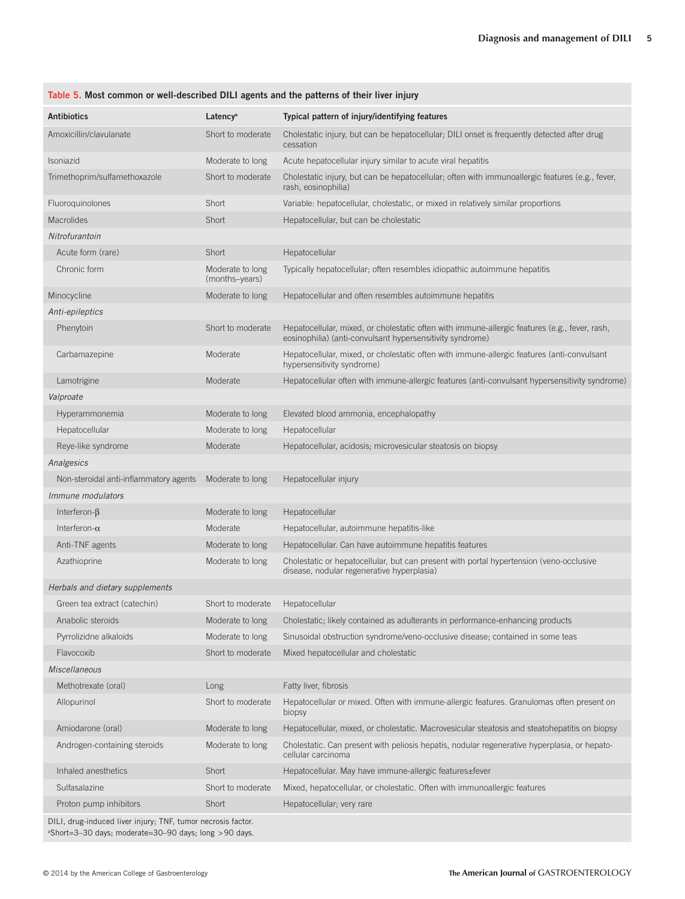|  |  |  | Table 5. Most common or well-described DILI agents and the patterns of their liver injury |  |  |  |  |  |  |  |
|--|--|--|-------------------------------------------------------------------------------------------|--|--|--|--|--|--|--|
|--|--|--|-------------------------------------------------------------------------------------------|--|--|--|--|--|--|--|

| <b>Antibiotics</b>                     | Latency <sup>a</sup>               | Typical pattern of injury/identifying features                                                                                                             |
|----------------------------------------|------------------------------------|------------------------------------------------------------------------------------------------------------------------------------------------------------|
| Amoxicillin/clavulanate                | Short to moderate                  | Cholestatic injury, but can be hepatocellular; DILI onset is frequently detected after drug<br>cessation                                                   |
| Isoniazid                              | Moderate to long                   | Acute hepatocellular injury similar to acute viral hepatitis                                                                                               |
| Trimethoprim/sulfamethoxazole          | Short to moderate                  | Cholestatic injury, but can be hepatocellular; often with immunoallergic features (e.g., fever,<br>rash, eosinophilia)                                     |
| Fluoroquinolones                       | Short                              | Variable: hepatocellular, cholestatic, or mixed in relatively similar proportions                                                                          |
| <b>Macrolides</b>                      | Short                              | Hepatocellular, but can be cholestatic                                                                                                                     |
| Nitrofurantoin                         |                                    |                                                                                                                                                            |
| Acute form (rare)                      | Short                              | Hepatocellular                                                                                                                                             |
| Chronic form                           | Moderate to long<br>(months-years) | Typically hepatocellular; often resembles idiopathic autoimmune hepatitis                                                                                  |
| Minocycline                            | Moderate to long                   | Hepatocellular and often resembles autoimmune hepatitis                                                                                                    |
| Anti-epileptics                        |                                    |                                                                                                                                                            |
| Phenytoin                              | Short to moderate                  | Hepatocellular, mixed, or cholestatic often with immune-allergic features (e.g., fever, rash,<br>eosinophilia) (anti-convulsant hypersensitivity syndrome) |
| Carbamazepine                          | Moderate                           | Hepatocellular, mixed, or cholestatic often with immune-allergic features (anti-convulsant<br>hypersensitivity syndrome)                                   |
| Lamotrigine                            | Moderate                           | Hepatocellular often with immune-allergic features (anti-convulsant hypersensitivity syndrome)                                                             |
| Valproate                              |                                    |                                                                                                                                                            |
| Hyperammonemia                         | Moderate to long                   | Elevated blood ammonia, encephalopathy                                                                                                                     |
| Hepatocellular                         | Moderate to long                   | Hepatocellular                                                                                                                                             |
| Reye-like syndrome                     | Moderate                           | Hepatocellular, acidosis; microvesicular steatosis on biopsy                                                                                               |
| Analgesics                             |                                    |                                                                                                                                                            |
| Non-steroidal anti-inflammatory agents | Moderate to long                   | Hepatocellular injury                                                                                                                                      |
| Immune modulators                      |                                    |                                                                                                                                                            |
| Interferon- $\beta$                    | Moderate to long                   | Hepatocellular                                                                                                                                             |
| Interferon- $\alpha$                   | Moderate                           | Hepatocellular, autoimmune hepatitis-like                                                                                                                  |
| Anti-TNF agents                        | Moderate to long                   | Hepatocellular. Can have autoimmune hepatitis features                                                                                                     |
| Azathioprine                           | Moderate to long                   | Cholestatic or hepatocellular, but can present with portal hypertension (veno-occlusive<br>disease, nodular regenerative hyperplasia)                      |
| Herbals and dietary supplements        |                                    |                                                                                                                                                            |
| Green tea extract (catechin)           | Short to moderate                  | Hepatocellular                                                                                                                                             |
| Anabolic steroids                      | Moderate to long                   | Cholestatic; likely contained as adulterants in performance-enhancing products                                                                             |
| Pyrrolizidne alkaloids                 | Moderate to long                   | Sinusoidal obstruction syndrome/veno-occlusive disease; contained in some teas                                                                             |
| Flavocoxib                             | Short to moderate                  | Mixed hepatocellular and cholestatic                                                                                                                       |
| <b>Miscellaneous</b>                   |                                    |                                                                                                                                                            |
| Methotrexate (oral)                    | Long                               | Fatty liver, fibrosis                                                                                                                                      |
| Allopurinol                            | Short to moderate                  | Hepatocellular or mixed. Often with immune-allergic features. Granulomas often present on<br>biopsy                                                        |
| Amiodarone (oral)                      | Moderate to long                   | Hepatocellular, mixed, or cholestatic. Macrovesicular steatosis and steatohepatitis on biopsy                                                              |
| Androgen-containing steroids           | Moderate to long                   | Cholestatic. Can present with peliosis hepatis, nodular regenerative hyperplasia, or hepato-<br>cellular carcinoma                                         |
| Inhaled anesthetics                    | Short                              | Hepatocellular. May have immune-allergic features±fever                                                                                                    |
| Sulfasalazine                          | Short to moderate                  | Mixed, hepatocellular, or cholestatic. Often with immunoallergic features                                                                                  |
| Proton pump inhibitors                 | Short                              | Hepatocellular; very rare                                                                                                                                  |

DILI, drug-induced liver injury; TNF, tumor necrosis factor. a Short=3 – 30 days; moderate=30 – 90 days; long > 90 days.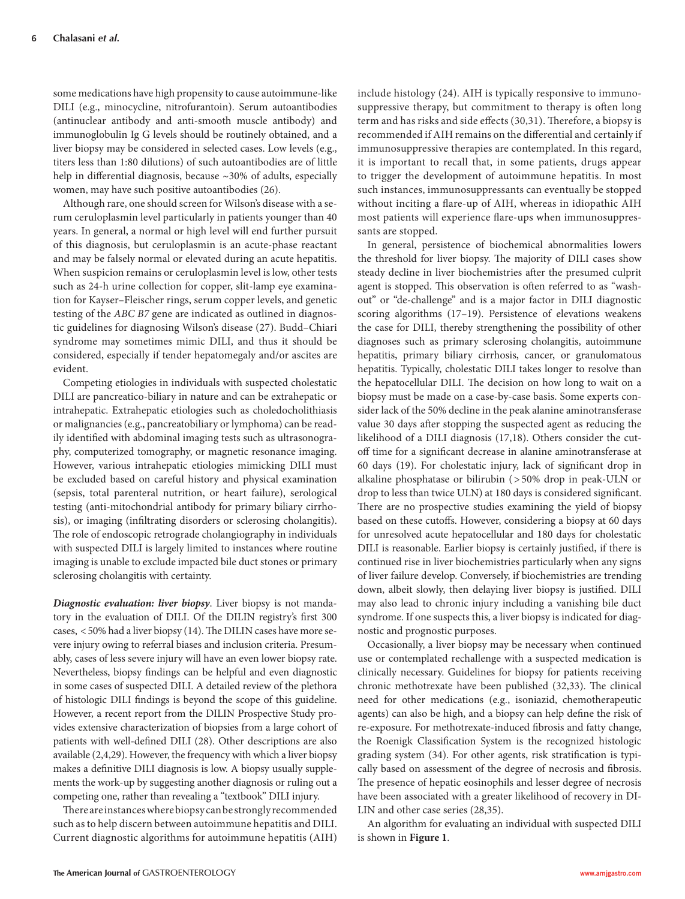some medications have high propensity to cause autoimmune-like DILI (e.g., minocycline, nitrofurantoin). Serum autoantibodies (antinuclear antibody and anti-smooth muscle antibody) and immunoglobulin Ig G levels should be routinely obtained, and a liver biopsy may be considered in selected cases. Low levels (e.g., titers less than 1:80 dilutions) of such autoantibodies are of little help in differential diagnosis, because  $~30\%$  of adults, especially women, may have such positive autoantibodies (26).

Although rare, one should screen for Wilson's disease with a serum ceruloplasmin level particularly in patients younger than 40 years. In general, a normal or high level will end further pursuit of this diagnosis, but ceruloplasmin is an acute-phase reactant and may be falsely normal or elevated during an acute hepatitis. When suspicion remains or ceruloplasmin level is low, other tests such as 24-h urine collection for copper, slit-lamp eye examination for Kayser – Fleischer rings, serum copper levels, and genetic testing of the *ABC B7* gene are indicated as outlined in diagnostic guidelines for diagnosing Wilson's disease (27). Budd-Chiari syndrome may sometimes mimic DILI, and thus it should be considered, especially if tender hepatomegaly and/or ascites are evident.

 Competing etiologies in individuals with suspected cholestatic DILI are pancreatico-biliary in nature and can be extrahepatic or intrahepatic. Extrahepatic etiologies such as choledocholithiasis or malignancies (e.g., pancreatobiliary or lymphoma) can be readily identified with abdominal imaging tests such as ultrasonography, computerized tomography, or magnetic resonance imaging. However, various intrahepatic etiologies mimicking DILI must be excluded based on careful history and physical examination (sepsis, total parenteral nutrition, or heart failure), serological testing (anti-mitochondrial antibody for primary biliary cirrhosis), or imaging (infiltrating disorders or sclerosing cholangitis). The role of endoscopic retrograde cholangiography in individuals with suspected DILI is largely limited to instances where routine imaging is unable to exclude impacted bile duct stones or primary sclerosing cholangitis with certainty.

*Diagnostic evaluation: liver biopsy* . Liver biopsy is not mandatory in the evaluation of DILI. Of the DILIN registry's first 300 cases,  $<$  50% had a liver biopsy (14). The DILIN cases have more severe injury owing to referral biases and inclusion criteria. Presumably, cases of less severe injury will have an even lower biopsy rate. Nevertheless, biopsy findings can be helpful and even diagnostic in some cases of suspected DILI. A detailed review of the plethora of histologic DILI findings is beyond the scope of this guideline. However, a recent report from the DILIN Prospective Study provides extensive characterization of biopsies from a large cohort of patients with well-defined DILI (28). Other descriptions are also available (2,4,29). However, the frequency with which a liver biopsy makes a definitive DILI diagnosis is low. A biopsy usually supplements the work-up by suggesting another diagnosis or ruling out a competing one, rather than revealing a "textbook" DILI injury.

There are instances where biopsy can be strongly recommended such as to help discern between autoimmune hepatitis and DILI. Current diagnostic algorithms for autoimmune hepatitis (AIH) include histology (24). AIH is typically responsive to immunosuppressive therapy, but commitment to therapy is often long term and has risks and side effects (30,31). Therefore, a biopsy is recommended if AIH remains on the differential and certainly if immunosuppressive therapies are contemplated. In this regard, it is important to recall that, in some patients, drugs appear to trigger the development of autoimmune hepatitis. In most such instances, immunosuppressants can eventually be stopped without inciting a flare-up of AIH, whereas in idiopathic AIH most patients will experience flare-ups when immunosuppressants are stopped.

 In general, persistence of biochemical abnormalities lowers the threshold for liver biopsy. The majority of DILI cases show steady decline in liver biochemistries after the presumed culprit agent is stopped. This observation is often referred to as "washout" or "de-challenge" and is a major factor in DILI diagnostic scoring algorithms  $(17-19)$ . Persistence of elevations weakens the case for DILI, thereby strengthening the possibility of other diagnoses such as primary sclerosing cholangitis, autoimmune hepatitis, primary biliary cirrhosis, cancer, or granulomatous hepatitis. Typically, cholestatic DILI takes longer to resolve than the hepatocellular DILI. The decision on how long to wait on a biopsy must be made on a case-by-case basis. Some experts consider lack of the 50% decline in the peak alanine aminotransferase value 30 days after stopping the suspected agent as reducing the likelihood of a DILI diagnosis (17,18). Others consider the cutoff time for a significant decrease in alanine aminotransferase at 60 days (19). For cholestatic injury, lack of significant drop in alkaline phosphatase or bilirubin (>50% drop in peak-ULN or drop to less than twice ULN) at 180 days is considered significant. There are no prospective studies examining the yield of biopsy based on these cutoffs. However, considering a biopsy at 60 days for unresolved acute hepatocellular and 180 days for cholestatic DILI is reasonable. Earlier biopsy is certainly justified, if there is continued rise in liver biochemistries particularly when any signs of liver failure develop. Conversely, if biochemistries are trending down, albeit slowly, then delaying liver biopsy is justified. DILI may also lead to chronic injury including a vanishing bile duct syndrome. If one suspects this, a liver biopsy is indicated for diagnostic and prognostic purposes.

 Occasionally, a liver biopsy may be necessary when continued use or contemplated rechallenge with a suspected medication is clinically necessary. Guidelines for biopsy for patients receiving chronic methotrexate have been published (32,33). The clinical need for other medications (e.g., isoniazid, chemotherapeutic agents) can also be high, and a biopsy can help define the risk of re-exposure. For methotrexate-induced fibrosis and fatty change, the Roenigk Classification System is the recognized histologic grading system (34). For other agents, risk stratification is typically based on assessment of the degree of necrosis and fibrosis. The presence of hepatic eosinophils and lesser degree of necrosis have been associated with a greater likelihood of recovery in DI-LIN and other case series (28,35).

 An algorithm for evaluating an individual with suspected DILI is shown in **Figure 1** .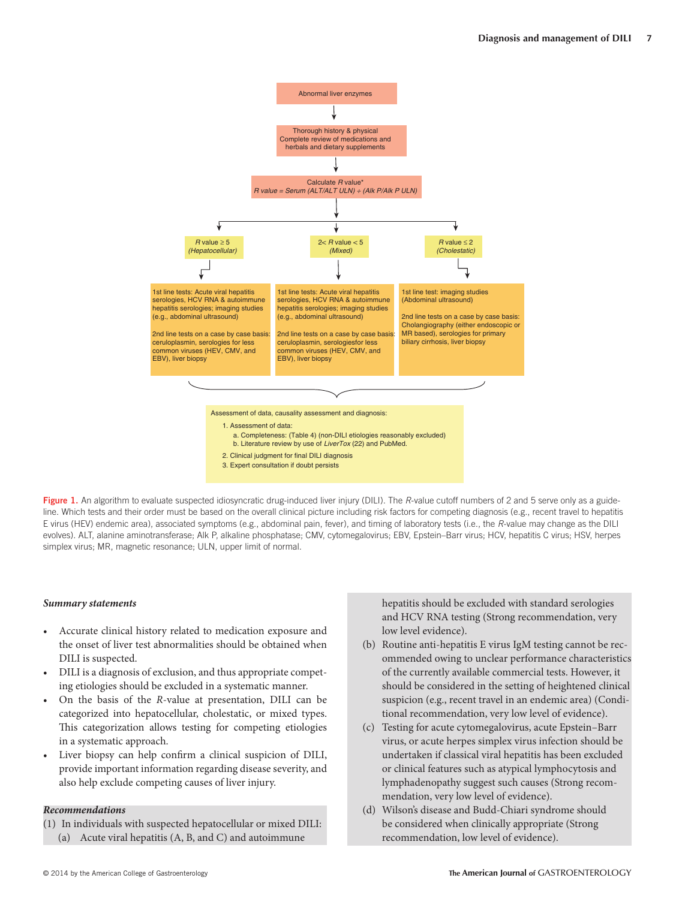

**Figure 1.** An algorithm to evaluate suspected idiosyncratic drug-induced liver injury (DILI). The *R*-value cutoff numbers of 2 and 5 serve only as a guideline. Which tests and their order must be based on the overall clinical picture including risk factors for competing diagnosis (e.g., recent travel to hepatitis E virus (HEV) endemic area), associated symptoms (e.g., abdominal pain, fever), and timing of laboratory tests (i.e., the *R*-value may change as the DILI evolves). ALT, alanine aminotransferase; Alk P, alkaline phosphatase; CMV, cytomegalovirus; EBV, Epstein – Barr virus; HCV, hepatitis C virus; HSV, herpes simplex virus; MR, magnetic resonance; ULN, upper limit of normal.

#### *Summary statements*

- Accurate clinical history related to medication exposure and the onset of liver test abnormalities should be obtained when DILI is suspected. •
- DILI is a diagnosis of exclusion, and thus appropriate competing etiologies should be excluded in a systematic manner. •
- On the basis of the *R* -value at presentation, DILI can be categorized into hepatocellular, cholestatic, or mixed types. This categorization allows testing for competing etiologies in a systematic approach. •
- Liver biopsy can help confirm a clinical suspicion of DILI, provide important information regarding disease severity, and also help exclude competing causes of liver injury. •

## *Recommendations*

 (1) In individuals with suspected hepatocellular or mixed DILI: (a) Acute viral hepatitis (A, B, and C) and autoimmune

hepatitis should be excluded with standard serologies and HCV RNA testing (Strong recommendation, very low level evidence).

- (b) Routine anti-hepatitis E virus IgM testing cannot be recommended owing to unclear performance characteristics of the currently available commercial tests. However, it should be considered in the setting of heightened clinical suspicion (e.g., recent travel in an endemic area) (Conditional recommendation, very low level of evidence).
- (c) Testing for acute cytomegalovirus, acute Epstein Barr virus, or acute herpes simplex virus infection should be undertaken if classical viral hepatitis has been excluded or clinical features such as atypical lymphocytosis and lymphadenopathy suggest such causes (Strong recommendation, very low level of evidence).
- (d) Wilson's disease and Budd-Chiari syndrome should be considered when clinically appropriate (Strong recommendation, low level of evidence).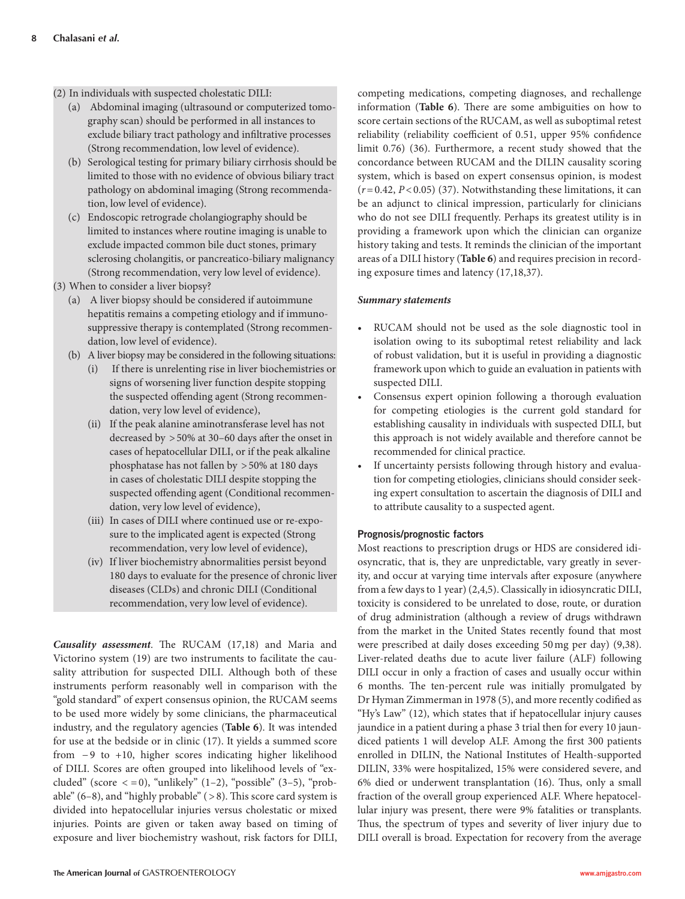- (2) In individuals with suspected cholestatic DILI:
	- (a) Abdominal imaging (ultrasound or computerized tomography scan) should be performed in all instances to exclude biliary tract pathology and infiltrative processes (Strong recommendation, low level of evidence).
	- (b) Serological testing for primary biliary cirrhosis should be limited to those with no evidence of obvious biliary tract pathology on abdominal imaging (Strong recommendation, low level of evidence).
	- (c) Endoscopic retrograde cholangiography should be limited to instances where routine imaging is unable to exclude impacted common bile duct stones, primary sclerosing cholangitis, or pancreatico-biliary malignancy (Strong recommendation, very low level of evidence).
- (3) When to consider a liver biopsy?
	- (a) A liver biopsy should be considered if autoimmune hepatitis remains a competing etiology and if immunosuppressive therapy is contemplated (Strong recommendation, low level of evidence).
	- (b) A liver biopsy may be considered in the following situations:
		- (i) If there is unrelenting rise in liver biochemistries or signs of worsening liver function despite stopping the suspected offending agent (Strong recommendation, very low level of evidence),
		- (ii) If the peak alanine aminotransferase level has not decreased by  $> 50\%$  at 30–60 days after the onset in cases of hepatocellular DILI, or if the peak alkaline phosphatase has not fallen by  $> 50\%$  at 180 days in cases of cholestatic DILI despite stopping the suspected offending agent (Conditional recommendation, very low level of evidence),
		- (iii) In cases of DILI where continued use or re-exposure to the implicated agent is expected (Strong recommendation, very low level of evidence),
		- (iv) If liver biochemistry abnormalities persist beyond 180 days to evaluate for the presence of chronic liver diseases (CLDs) and chronic DILI (Conditional recommendation, very low level of evidence).

*Causality assessment*. The RUCAM (17,18) and Maria and Victorino system (19) are two instruments to facilitate the causality attribution for suspected DILI. Although both of these instruments perform reasonably well in comparison with the "gold standard" of expert consensus opinion, the RUCAM seems to be used more widely by some clinicians, the pharmaceutical industry, and the regulatory agencies ( **Table 6** ). It was intended for use at the bedside or in clinic (17) . It yields a summed score from − 9 to + 10, higher scores indicating higher likelihood of DILI. Scores are often grouped into likelihood levels of "excluded" (score  $\langle 0, \times 1 \rangle$  "unlikely" (1-2), "possible" (3-5), "probable"  $(6-8)$ , and "highly probable"  $(>8)$ . This score card system is divided into hepatocellular injuries versus cholestatic or mixed injuries. Points are given or taken away based on timing of exposure and liver biochemistry washout, risk factors for DILI,

competing medications, competing diagnoses, and rechallenge information (Table 6). There are some ambiguities on how to score certain sections of the RUCAM, as well as suboptimal retest reliability (reliability coefficient of 0.51, upper 95% confidence limit 0.76) (36). Furthermore, a recent study showed that the concordance between RUCAM and the DILIN causality scoring system, which is based on expert consensus opinion, is modest  $(r=0.42, P<0.05)$  (37). Notwithstanding these limitations, it can be an adjunct to clinical impression, particularly for clinicians who do not see DILI frequently. Perhaps its greatest utility is in providing a framework upon which the clinician can organize history taking and tests. It reminds the clinician of the important areas of a DILI history ( **Table 6** ) and requires precision in recording exposure times and latency ( 17,18,37 ).

# *Summary statements*

- RUCAM should not be used as the sole diagnostic tool in isolation owing to its suboptimal retest reliability and lack of robust validation, but it is useful in providing a diagnostic framework upon which to guide an evaluation in patients with suspected DILI.
- Consensus expert opinion following a thorough evaluation for competing etiologies is the current gold standard for establishing causality in individuals with suspected DILI, but this approach is not widely available and therefore cannot be recommended for clinical practice. •
- If uncertainty persists following through history and evaluation for competing etiologies, clinicians should consider seeking expert consultation to ascertain the diagnosis of DILI and to attribute causality to a suspected agent. •

#### **Prognosis/prognostic factors**

 Most reactions to prescription drugs or HDS are considered idiosyncratic, that is, they are unpredictable, vary greatly in severity, and occur at varying time intervals after exposure (anywhere from a few days to 1 year)  $(2,4,5)$ . Classically in idiosyncratic DILI, toxicity is considered to be unrelated to dose, route, or duration of drug administration (although a review of drugs withdrawn from the market in the United States recently found that most were prescribed at daily doses exceeding 50 mg per day) (9,38). Liver-related deaths due to acute liver failure (ALF) following DILI occur in only a fraction of cases and usually occur within 6 months. The ten-percent rule was initially promulgated by Dr Hyman Zimmerman in 1978 (5), and more recently codified as "Hy's Law" (12), which states that if hepatocellular injury causes jaundice in a patient during a phase 3 trial then for every 10 jaundiced patients 1 will develop ALF. Among the first 300 patients enrolled in DILIN, the National Institutes of Health -supported DILIN, 33% were hospitalized, 15% were considered severe, and 6% died or underwent transplantation (16). Thus, only a small fraction of the overall group experienced ALF. Where hepatocellular injury was present, there were 9% fatalities or transplants. Thus, the spectrum of types and severity of liver injury due to DILI overall is broad. Expectation for recovery from the average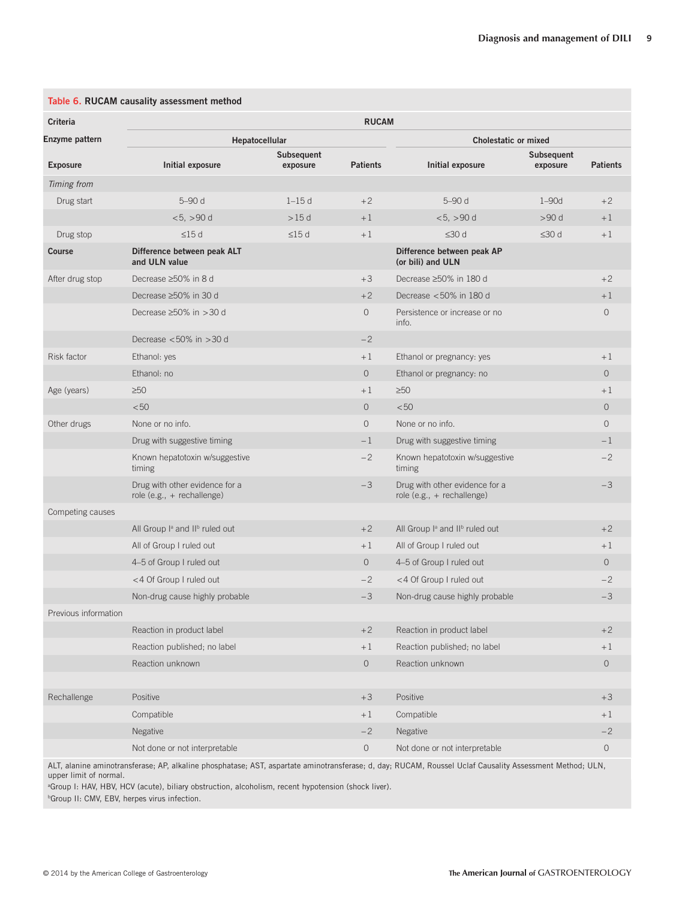# **Table 6 . RUCAM causality assessment method**

| <b>Criteria</b>      | <b>RUCAM</b>                                                 |                        |                     |                                                              |                        |                 |  |  |  |
|----------------------|--------------------------------------------------------------|------------------------|---------------------|--------------------------------------------------------------|------------------------|-----------------|--|--|--|
| Enzyme pattern       | Hepatocellular                                               |                        |                     | <b>Cholestatic or mixed</b>                                  |                        |                 |  |  |  |
| <b>Exposure</b>      | Initial exposure                                             | Subsequent<br>exposure | <b>Patients</b>     | Initial exposure                                             | Subsequent<br>exposure | <b>Patients</b> |  |  |  |
| Timing from          |                                                              |                        |                     |                                                              |                        |                 |  |  |  |
| Drug start           | $5-90d$                                                      | $1-15d$                | $+2$                | 5-90 d                                                       | $1 - 90d$              | $+2$            |  |  |  |
|                      | < 5, > 90 d                                                  | >15d                   | $+1$                | < 5, > 90 d                                                  | >90d                   | $+1$            |  |  |  |
| Drug stop            | $\leq$ 15 d                                                  | $\leq$ 15 d            | $+1$                | $\leq 30$ d                                                  | $\leq 30$ d            | $+1$            |  |  |  |
| Course               | Difference between peak ALT<br>and ULN value                 |                        |                     | Difference between peak AP<br>(or bili) and ULN              |                        |                 |  |  |  |
| After drug stop      | Decrease ≥50% in 8 d                                         |                        | $+3$                | Decrease ≥50% in 180 d                                       |                        | $+2$            |  |  |  |
|                      | Decrease ≥50% in 30 d                                        |                        | $+2$                | Decrease <50% in 180 d                                       |                        | $+1$            |  |  |  |
|                      | Decrease $\geq$ 50% in $>$ 30 d                              |                        | $\circ$             | Persistence or increase or no<br>info.                       |                        | $\Omega$        |  |  |  |
|                      | Decrease $<$ 50% in $>$ 30 d                                 |                        | $-2$                |                                                              |                        |                 |  |  |  |
| Risk factor          | Ethanol: yes                                                 |                        | $+1$                | Ethanol or pregnancy: yes                                    |                        | $+1$            |  |  |  |
|                      | Ethanol: no                                                  |                        | $\circ$             | Ethanol or pregnancy: no                                     |                        | $\overline{0}$  |  |  |  |
| Age (years)          | $\geq 50$                                                    |                        | $+1$                | $\geq 50$                                                    |                        | $+1$            |  |  |  |
|                      | < 50                                                         |                        | $\Omega$            | < 50                                                         |                        | $\Omega$        |  |  |  |
| Other drugs          | None or no info.                                             |                        | $\overline{0}$      | None or no info.                                             |                        | $\Omega$        |  |  |  |
|                      | Drug with suggestive timing                                  |                        | $-1$                | Drug with suggestive timing                                  |                        | $-1$            |  |  |  |
|                      | Known hepatotoxin w/suggestive<br>timing                     |                        | $-2$                | Known hepatotoxin w/suggestive<br>timing                     |                        | $-2$            |  |  |  |
|                      | Drug with other evidence for a<br>role (e.g., + rechallenge) |                        | $-3$                | Drug with other evidence for a<br>role (e.g., + rechallenge) |                        | $-3$            |  |  |  |
| Competing causes     |                                                              |                        |                     |                                                              |                        |                 |  |  |  |
|                      | All Group l <sup>ª</sup> and II <sup>b</sup> ruled out       |                        | $+2$                | All Group $I^a$ and $II^b$ ruled out                         |                        | $+2$            |  |  |  |
|                      | All of Group I ruled out                                     |                        | $+1$                | All of Group I ruled out                                     |                        | $+1$            |  |  |  |
|                      | 4–5 of Group I ruled out                                     |                        | $\circ$             | 4-5 of Group I ruled out                                     |                        | $\Omega$        |  |  |  |
|                      | <4 Of Group I ruled out                                      |                        | $-2$                | <4 Of Group I ruled out                                      |                        | $-2$            |  |  |  |
|                      | Non-drug cause highly probable                               |                        | $-3$                | Non-drug cause highly probable                               |                        | $-3$            |  |  |  |
| Previous information |                                                              |                        |                     |                                                              |                        |                 |  |  |  |
|                      | Reaction in product label                                    |                        | $+2$                | Reaction in product label                                    |                        | $+2$            |  |  |  |
|                      | Reaction published; no label                                 |                        | $+1$                | Reaction published; no label                                 |                        | $+1$            |  |  |  |
|                      | Reaction unknown                                             |                        | $\circ$             | Reaction unknown                                             |                        | $\circ$         |  |  |  |
|                      |                                                              |                        |                     |                                                              |                        |                 |  |  |  |
| Rechallenge          | Positive                                                     |                        | $+3$                | Positive                                                     |                        | $+3$            |  |  |  |
|                      | Compatible                                                   |                        | $+1$                | Compatible                                                   |                        | $+1$            |  |  |  |
|                      | Negative                                                     |                        | $-2$                | Negative                                                     |                        | $-2$            |  |  |  |
|                      | Not done or not interpretable                                |                        | $\mathsf{O}\xspace$ | Not done or not interpretable                                |                        | $\circ$         |  |  |  |

ALT, alanine aminotransferase; AP, alkaline phosphatase; AST, aspartate aminotransferase; d, day; RUCAM , Roussel Uclaf Causality Assessment Method; ULN, upper limit of normal.

a Group I: HAV, HBV, HCV (acute), biliary obstruction, alcoholism, recent hypotension (shock liver).

b Group II: CMV, EBV, herpes virus infection.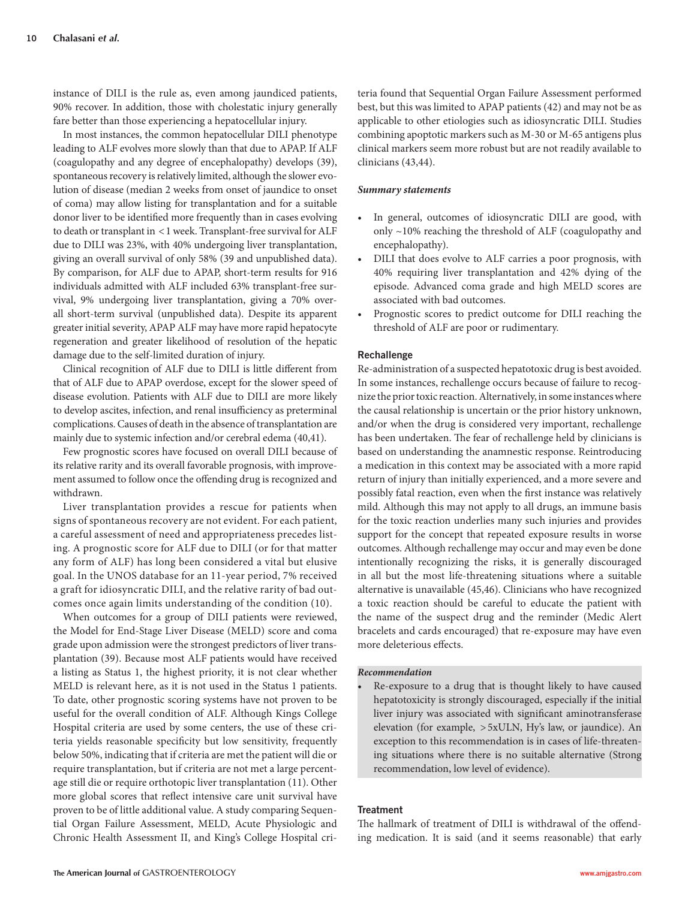instance of DILI is the rule as, even among jaundiced patients, 90% recover. In addition, those with cholestatic injury generally fare better than those experiencing a hepatocellular injury.

 In most instances, the common hepatocellular DILI phenotype leading to ALF evolves more slowly than that due to APAP. If ALF (coagulopathy and any degree of encephalopathy) develops (39), spontaneous recovery is relatively limited, although the slower evolution of disease (median 2 weeks from onset of jaundice to onset of coma) may allow listing for transplantation and for a suitable donor liver to be identified more frequently than in cases evolving to death or transplant in < 1 week. Transplant-free survival for ALF due to DILI was 23%, with 40% undergoing liver transplantation, giving an overall survival of only 58% (39 and unpublished data). By comparison, for ALF due to APAP, short-term results for 916 individuals admitted with ALF included 63% transplant-free survival, 9% undergoing liver transplantation, giving a 70% overall short-term survival (unpublished data). Despite its apparent greater initial severity, APAP ALF may have more rapid hepatocyte regeneration and greater likelihood of resolution of the hepatic damage due to the self-limited duration of injury.

Clinical recognition of ALF due to DILI is little different from that of ALF due to APAP overdose, except for the slower speed of disease evolution. Patients with ALF due to DILI are more likely to develop ascites, infection, and renal insufficiency as preterminal complications. Causes of death in the absence of transplantation are mainly due to systemic infection and/or cerebral edema (40,41).

 Few prognostic scores have focused on overall DILI because of its relative rarity and its overall favorable prognosis, with improvement assumed to follow once the offending drug is recognized and withdrawn.

 Liver transplantation provides a rescue for patients when signs of spontaneous recovery are not evident. For each patient, a careful assessment of need and appropriateness precedes listing. A prognostic score for ALF due to DILI (or for that matter any form of ALF) has long been considered a vital but elusive goal. In the UNOS database for an 11-year period, 7 % received a graft for idiosyncratic DILI, and the relative rarity of bad outcomes once again limits understanding of the condition (10).

 When outcomes for a group of DILI patients were reviewed, the Model for End-Stage Liver Disease (MELD) score and coma grade upon admission were the strongest predictors of liver transplantation (39). Because most ALF patients would have received a listing as Status 1, the highest priority, it is not clear whether MELD is relevant here, as it is not used in the Status 1 patients. To date, other prognostic scoring systems have not proven to be useful for the overall condition of ALF. Although Kings College Hospital criteria are used by some centers, the use of these criteria yields reasonable specificity but low sensitivity, frequently below 50%, indicating that if criteria are met the patient will die or require transplantation, but if criteria are not met a large percentage still die or require orthotopic liver transplantation (11). Other more global scores that reflect intensive care unit survival have proven to be of little additional value. A study comparing Sequential Organ Failure Assessment, MELD, Acute Physiologic and Chronic Health Assessment II, and King's College Hospital cri-

teria found that Sequential Organ Failure Assessment performed best, but this was limited to APAP patients (42) and may not be as applicable to other etiologies such as idiosyncratic DILI. Studies combining apoptotic markers such as M-30 or M-65 antigens plus clinical markers seem more robust but are not readily available to clinicians (43,44).

# *Summary statements*

- In general, outcomes of idiosyncratic DILI are good, with only  $\sim$ 10% reaching the threshold of ALF (coagulopathy and encephalopathy). •
- DILI that does evolve to ALF carries a poor prognosis, with 40% requiring liver transplantation and 42% dying of the episode. Advanced coma grade and high MELD scores are associated with bad outcomes. •
- Prognostic scores to predict outcome for DILI reaching the threshold of ALF are poor or rudimentary. •

# **Rechallenge**

 Re-administration of a suspected hepatotoxic drug is best avoided. In some instances, rechallenge occurs because of failure to recognize the prior toxic reaction. Alternatively, in some instances where the causal relationship is uncertain or the prior history unknown, and/or when the drug is considered very important, rechallenge has been undertaken. The fear of rechallenge held by clinicians is based on understanding the anamnestic response. Reintroducing a medication in this context may be associated with a more rapid return of injury than initially experienced, and a more severe and possibly fatal reaction, even when the first instance was relatively mild. Although this may not apply to all drugs, an immune basis for the toxic reaction underlies many such injuries and provides support for the concept that repeated exposure results in worse outcomes. Although rechallenge may occur and may even be done intentionally recognizing the risks, it is generally discouraged in all but the most life-threatening situations where a suitable alternative is unavailable (45,46). Clinicians who have recognized a toxic reaction should be careful to educate the patient with the name of the suspect drug and the reminder (Medic Alert bracelets and cards encouraged) that re-exposure may have even more deleterious effects.

## *Recommendation*

 Re-exposure to a drug that is thought likely to have caused hepatotoxicity is strongly discouraged, especially if the initial liver injury was associated with significant aminotransferase elevation (for example,  $> 5xULN$ , Hy's law, or jaundice). An exception to this recommendation is in cases of life-threatening situations where there is no suitable alternative (Strong recommendation, low level of evidence). •

# **Treatment**

The hallmark of treatment of DILI is withdrawal of the offending medication. It is said (and it seems reasonable) that early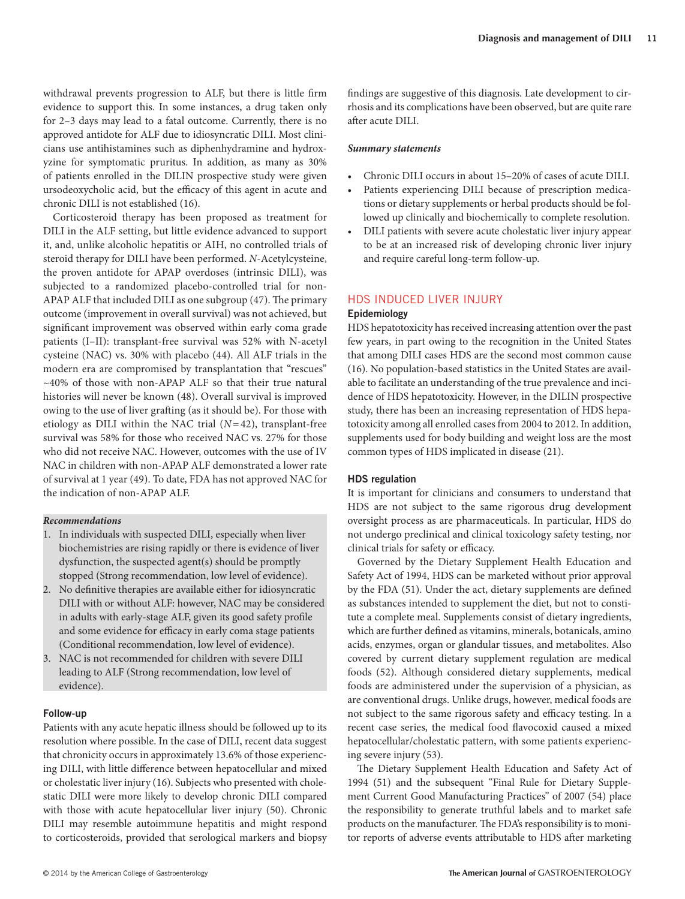withdrawal prevents progression to ALF, but there is little firm evidence to support this. In some instances, a drug taken only for 2-3 days may lead to a fatal outcome. Currently, there is no approved antidote for ALF due to idiosyncratic DILI. Most clinicians use antihistamines such as diphenhydramine and hydroxyzine for symptomatic pruritus. In addition, as many as 30% of patients enrolled in the DILIN prospective study were given ursodeoxycholic acid, but the efficacy of this agent in acute and chronic DILI is not established (16).

 Corticosteroid therapy has been proposed as treatment for DILI in the ALF setting, but little evidence advanced to support it, and, unlike alcoholic hepatitis or AIH, no controlled trials of steroid therapy for DILI have been performed. *N*-Acetylcysteine, the proven antidote for APAP overdoses (intrinsic DILI), was subjected to a randomized placebo-controlled trial for non-APAP ALF that included DILI as one subgroup (47). The primary outcome (improvement in overall survival) was not achieved, but significant improvement was observed within early coma grade patients (I-II): transplant-free survival was 52% with N-acetyl cysteine (NAC) vs. 30% with placebo (44). All ALF trials in the modern era are compromised by transplantation that "rescues"  $~10\%$  of those with non-APAP ALF so that their true natural histories will never be known (48). Overall survival is improved owing to the use of liver grafting (as it should be). For those with etiology as DILI within the NAC trial  $(N=42)$ , transplant-free survival was 58% for those who received NAC vs. 27% for those who did not receive NAC. However, outcomes with the use of IV NAC in children with non-APAP ALF demonstrated a lower rate of survival at 1 year (49). To date, FDA has not approved NAC for the indication of non-APAP ALF.

# *Recommendations*

- 1. In individuals with suspected DILI, especially when liver biochemistries are rising rapidly or there is evidence of liver dysfunction, the suspected agent(s) should be promptly stopped (Strong recommendation, low level of evidence).
- 2. No definitive therapies are available either for idiosyncratic DILI with or without ALF: however, NAC may be considered in adults with early-stage ALF, given its good safety profile and some evidence for efficacy in early coma stage patients (Conditional recommendation, low level of evidence).
- 3. NAC is not recommended for children with severe DILI leading to ALF (Strong recommendation, low level of evidence).

# **Follow-up**

 Patients with any acute hepatic illness should be followed up to its resolution where possible. In the case of DILI, recent data suggest that chronicity occurs in approximately 13.6 % of those experiencing DILI, with little difference between hepatocellular and mixed or cholestatic liver injury (16). Subjects who presented with cholestatic DILI were more likely to develop chronic DILI compared with those with acute hepatocellular liver injury (50). Chronic DILI may resemble autoimmune hepatitis and might respond to corticosteroids, provided that serological markers and biopsy findings are suggestive of this diagnosis. Late development to cirrhosis and its complications have been observed, but are quite rare after acute DILI.

#### *Summary statements*

- Chronic DILI occurs in about 15–20% of cases of acute DILI. •
- Patients experiencing DILI because of prescription medications or dietary supplements or herbal products should be followed up clinically and biochemically to complete resolution. •
- DILI patients with severe acute cholestatic liver injury appear to be at an increased risk of developing chronic liver injury and require careful long-term follow-up. •

## HDS INDUCED LIVER INJURY

#### **Epidemiology**

 HDS hepatotoxicity has received increasing attention over the past few years, in part owing to the recognition in the United States that among DILI cases HDS are the second most common cause (16). No population-based statistics in the United States are available to facilitate an understanding of the true prevalence and incidence of HDS hepatotoxicity. However, in the DILIN prospective study, there has been an increasing representation of HDS hepatotoxicity among all enrolled cases from 2004 to 2012. In addition, supplements used for body building and weight loss are the most common types of HDS implicated in disease (21).

## **HDS regulation**

 It is important for clinicians and consumers to understand that HDS are not subject to the same rigorous drug development oversight process as are pharmaceuticals. In particular, HDS do not undergo preclinical and clinical toxicology safety testing, nor clinical trials for safety or efficacy.

 Governed by the Dietary Supplement Health Education and Safety Act of 1994, HDS can be marketed without prior approval by the FDA (51). Under the act, dietary supplements are defined as substances intended to supplement the diet, but not to constitute a complete meal. Supplements consist of dietary ingredients, which are further defined as vitamins, minerals, botanicals, amino acids, enzymes, organ or glandular tissues, and metabolites. Also covered by current dietary supplement regulation are medical foods (52). Although considered dietary supplements, medical foods are administered under the supervision of a physician, as are conventional drugs. Unlike drugs, however, medical foods are not subject to the same rigorous safety and efficacy testing. In a recent case series, the medical food flavocoxid caused a mixed hepatocellular/cholestatic pattern, with some patients experiencing severe injury (53).

The Dietary Supplement Health Education and Safety Act of 1994 (51) and the subsequent "Final Rule for Dietary Supplement Current Good Manufacturing Practices" of 2007 (54) place the responsibility to generate truthful labels and to market safe products on the manufacturer. The FDA's responsibility is to monitor reports of adverse events attributable to HDS after marketing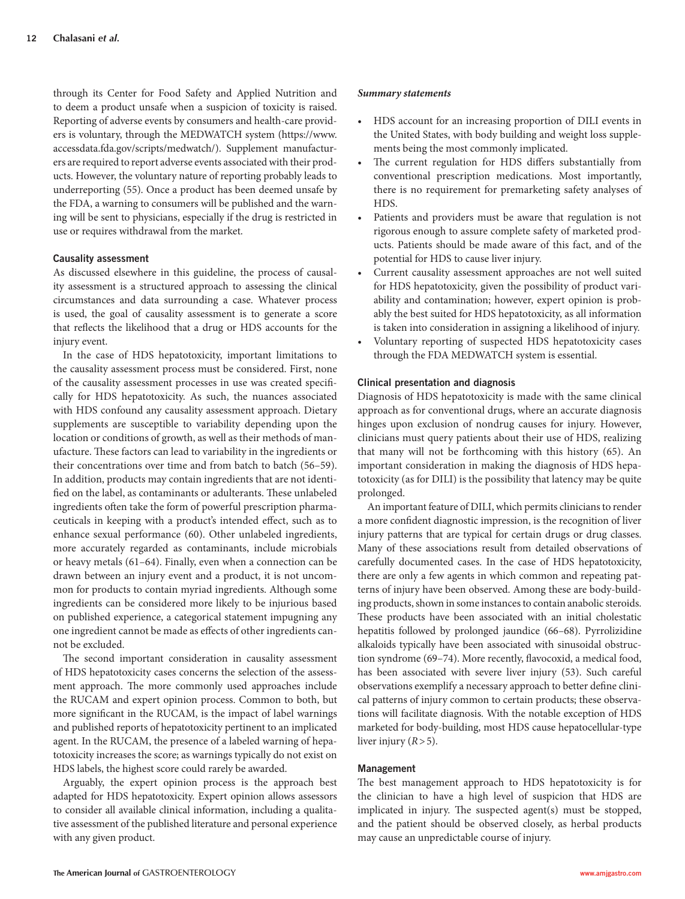through its Center for Food Safety and Applied Nutrition and to deem a product unsafe when a suspicion of toxicity is raised. Reporting of adverse events by consumers and health-care providers is voluntary, through the MEDWATCH system ( https://www. accessdata.fda.gov/scripts/medwatch/). Supplement manufacturers are required to report adverse events associated with their products. However, the voluntary nature of reporting probably leads to underreporting (55). Once a product has been deemed unsafe by the FDA, a warning to consumers will be published and the warning will be sent to physicians, especially if the drug is restricted in use or requires withdrawal from the market.

#### **Causality assessment**

 As discussed elsewhere in this guideline, the process of causality assessment is a structured approach to assessing the clinical circumstances and data surrounding a case. Whatever process is used, the goal of causality assessment is to generate a score that reflects the likelihood that a drug or HDS accounts for the injury event.

 In the case of HDS hepatotoxicity, important limitations to the causality assessment process must be considered. First, none of the causality assessment processes in use was created specifically for HDS hepatotoxicity. As such, the nuances associated with HDS confound any causality assessment approach. Dietary supplements are susceptible to variability depending upon the location or conditions of growth, as well as their methods of manufacture. These factors can lead to variability in the ingredients or their concentrations over time and from batch to batch (56-59). In addition, products may contain ingredients that are not identified on the label, as contaminants or adulterants. These unlabeled ingredients often take the form of powerful prescription pharmaceuticals in keeping with a product's intended effect, such as to enhance sexual performance (60). Other unlabeled ingredients, more accurately regarded as contaminants, include microbials or heavy metals  $(61-64)$ . Finally, even when a connection can be drawn between an injury event and a product, it is not uncommon for products to contain myriad ingredients. Although some ingredients can be considered more likely to be injurious based on published experience, a categorical statement impugning any one ingredient cannot be made as effects of other ingredients cannot be excluded.

The second important consideration in causality assessment of HDS hepatotoxicity cases concerns the selection of the assessment approach. The more commonly used approaches include the RUCAM and expert opinion process. Common to both, but more significant in the RUCAM, is the impact of label warnings and published reports of hepatotoxicity pertinent to an implicated agent. In the RUCAM, the presence of a labeled warning of hepatotoxicity increases the score; as warnings typically do not exist on HDS labels, the highest score could rarely be awarded.

 Arguably, the expert opinion process is the approach best adapted for HDS hepatotoxicity. Expert opinion allows assessors to consider all available clinical information, including a qualitative assessment of the published literature and personal experience with any given product.

#### *Summary statements*

- HDS account for an increasing proportion of DILI events in the United States, with body building and weight loss supplements being the most commonly implicated. •
- The current regulation for HDS differs substantially from conventional prescription medications. Most importantly, there is no requirement for premarketing safety analyses of HDS. •
- Patients and providers must be aware that regulation is not rigorous enough to assure complete safety of marketed products. Patients should be made aware of this fact, and of the potential for HDS to cause liver injury. •
- Current causality assessment approaches are not well suited for HDS hepatotoxicity, given the possibility of product variability and contamination; however, expert opinion is probably the best suited for HDS hepatotoxicity, as all information is taken into consideration in assigning a likelihood of injury. •
- Voluntary reporting of suspected HDS hepatotoxicity cases through the FDA MEDWATCH system is essential. •

#### **Clinical presentation and diagnosis**

 Diagnosis of HDS hepatotoxicity is made with the same clinical approach as for conventional drugs, where an accurate diagnosis hinges upon exclusion of nondrug causes for injury. However, clinicians must query patients about their use of HDS, realizing that many will not be forthcoming with this history (65). An important consideration in making the diagnosis of HDS hepatotoxicity (as for DILI) is the possibility that latency may be quite prolonged.

 An important feature of DILI, which permits clinicians to render a more confident diagnostic impression, is the recognition of liver injury patterns that are typical for certain drugs or drug classes. Many of these associations result from detailed observations of carefully documented cases. In the case of HDS hepatotoxicity, there are only a few agents in which common and repeating patterns of injury have been observed. Among these are body-building products, shown in some instances to contain anabolic steroids. These products have been associated with an initial cholestatic hepatitis followed by prolonged jaundice (66-68). Pyrrolizidine alkaloids typically have been associated with sinusoidal obstruction syndrome (69–74). More recently, flavocoxid, a medical food, has been associated with severe liver injury (53). Such careful observations exemplify a necessary approach to better define clinical patterns of injury common to certain products; these observations will facilitate diagnosis. With the notable exception of HDS marketed for body-building, most HDS cause hepatocellular-type liver injury  $(R > 5)$ .

#### **Management**

The best management approach to HDS hepatotoxicity is for the clinician to have a high level of suspicion that HDS are implicated in injury. The suspected agent(s) must be stopped, and the patient should be observed closely, as herbal products may cause an unpredictable course of injury.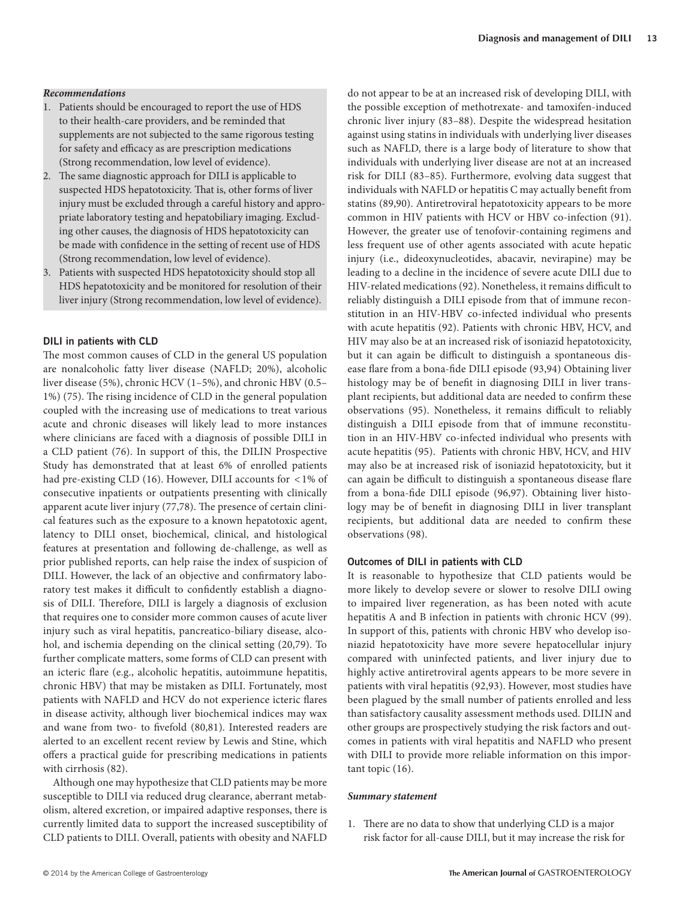# *Recommendations*

- 1. Patients should be encouraged to report the use of HDS to their health-care providers, and be reminded that supplements are not subjected to the same rigorous testing for safety and efficacy as are prescription medications (Strong recommendation, low level of evidence).
- 2. The same diagnostic approach for DILI is applicable to suspected HDS hepatotoxicity. That is, other forms of liver injury must be excluded through a careful history and appropriate laboratory testing and hepatobiliary imaging. Excluding other causes, the diagnosis of HDS hepatotoxicity can be made with confidence in the setting of recent use of HDS (Strong recommendation, low level of evidence).
- 3. Patients with suspected HDS hepatotoxicity should stop all HDS hepatotoxicity and be monitored for resolution of their liver injury (Strong recommendation, low level of evidence).

## **DILI in patients with CLD**

The most common causes of CLD in the general US population are nonalcoholic fatty liver disease (NAFLD; 20%), alcoholic liver disease (5%), chronic HCV (1-5%), and chronic HBV (0.5-1%) (75). The rising incidence of CLD in the general population coupled with the increasing use of medications to treat various acute and chronic diseases will likely lead to more instances where clinicians are faced with a diagnosis of possible DILI in a CLD patient (76). In support of this, the DILIN Prospective Study has demonstrated that at least 6% of enrolled patients had pre-existing CLD (16). However, DILI accounts for  $\langle 1\% \rangle$  of consecutive inpatients or outpatients presenting with clinically apparent acute liver injury (77,78). The presence of certain clinical features such as the exposure to a known hepatotoxic agent, latency to DILI onset, biochemical, clinical, and histological features at presentation and following de-challenge, as well as prior published reports, can help raise the index of suspicion of DILI. However, the lack of an objective and confirmatory laboratory test makes it difficult to confidently establish a diagnosis of DILI. Therefore, DILI is largely a diagnosis of exclusion that requires one to consider more common causes of acute liver injury such as viral hepatitis, pancreatico-biliary disease, alcohol, and ischemia depending on the clinical setting (20,79). To further complicate matters, some forms of CLD can present with an icteric flare (e.g., alcoholic hepatitis, autoimmune hepatitis, chronic HBV) that may be mistaken as DILI. Fortunately, most patients with NAFLD and HCV do not experience icteric flares in disease activity, although liver biochemical indices may wax and wane from two- to fivefold (80,81). Interested readers are alerted to an excellent recent review by Lewis and Stine, which offers a practical guide for prescribing medications in patients with cirrhosis  $(82)$ .

 Although one may hypothesize that CLD patients may be more susceptible to DILI via reduced drug clearance, aberrant metabolism, altered excretion, or impaired adaptive responses, there is currently limited data to support the increased susceptibility of CLD patients to DILI. Overall, patients with obesity and NAFLD do not appear to be at an increased risk of developing DILI, with the possible exception of methotrexate- and tamoxifen-induced chronic liver injury (83-88). Despite the widespread hesitation against using statins in individuals with underlying liver diseases such as NAFLD, there is a large body of literature to show that individuals with underlying liver disease are not at an increased risk for DILI (83-85). Furthermore, evolving data suggest that individuals with NAFLD or hepatitis C may actually benefit from statins (89,90). Antiretroviral hepatotoxicity appears to be more common in HIV patients with HCV or HBV co-infection (91). However, the greater use of tenofovir-containing regimens and less frequent use of other agents associated with acute hepatic injury (i.e., dideoxynucleotides, abacavir, nevirapine) may be leading to a decline in the incidence of severe acute DILI due to HIV-related medications (92). Nonetheless, it remains difficult to reliably distinguish a DILI episode from that of immune reconstitution in an HIV-HBV co-infected individual who presents with acute hepatitis (92). Patients with chronic HBV, HCV, and HIV may also be at an increased risk of isoniazid hepatotoxicity, but it can again be difficult to distinguish a spontaneous disease flare from a bona-fide DILI episode (93,94) Obtaining liver histology may be of benefit in diagnosing DILI in liver transplant recipients, but additional data are needed to confirm these observations (95). Nonetheless, it remains difficult to reliably distinguish a DILI episode from that of immune reconstitution in an HIV-HBV co-infected individual who presents with acute hepatitis (95). Patients with chronic HBV, HCV, and HIV may also be at increased risk of isoniazid hepatotoxicity, but it can again be difficult to distinguish a spontaneous disease flare from a bona-fide DILI episode (96,97). Obtaining liver histology may be of benefit in diagnosing DILI in liver transplant recipients, but additional data are needed to confirm these observations (98).

# **Outcomes of DILI in patients with CLD**

 It is reasonable to hypothesize that CLD patients would be more likely to develop severe or slower to resolve DILI owing to impaired liver regeneration, as has been noted with acute hepatitis A and B infection in patients with chronic HCV (99). In support of this, patients with chronic HBV who develop isoniazid hepatotoxicity have more severe hepatocellular injury compared with uninfected patients, and liver injury due to highly active antiretroviral agents appears to be more severe in patients with viral hepatitis (92,93). However, most studies have been plagued by the small number of patients enrolled and less than satisfactory causality assessment methods used. DILIN and other groups are prospectively studying the risk factors and outcomes in patients with viral hepatitis and NAFLD who present with DILI to provide more reliable information on this impor $t$ ant topic  $(16)$ .

#### *Summary statement*

1. There are no data to show that underlying CLD is a major risk factor for all-cause DILI, but it may increase the risk for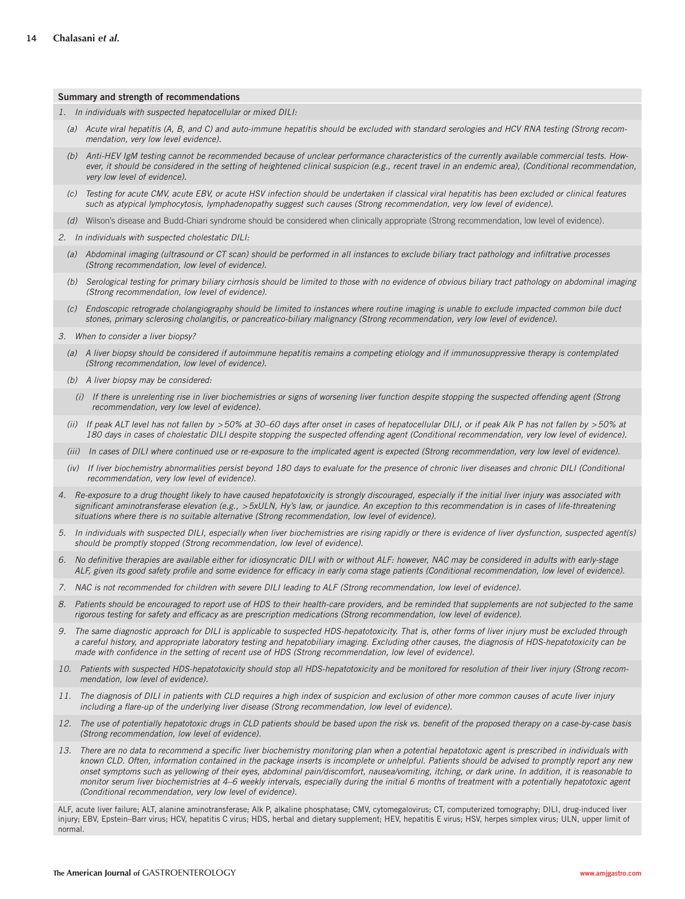#### **Summary and strength of recommendations**

*1. In individuals with suspected hepatocellular or mixed DILI:*

- *(a) Acute viral hepatitis (A, B, and C) and auto-immune hepatitis should be excluded with standard serologies and HCV RNA testing (Strong recommendation, very low level evidence).*
- *(b) Anti-HEV IgM testing cannot be recommended because of unclear performance characteristics of the currently available commercial tests. However, it should be considered in the setting of heightened clinical suspicion (e.g., recent travel in an endemic area), (Conditional recommendation, very low level of evidence).*
- *(c) Testing for acute CMV, acute EBV, or acute HSV infection should be undertaken if classical viral hepatitis has been excluded or clinical features such as atypical lymphocytosis, lymphadenopathy suggest such causes (Strong recommendation, very low level of evidence).*
- *(d)* Wilson's disease and Budd-Chiari syndrome should be considered when clinically appropriate (Strong recommendation, low level of evidence).
- *2. In individuals with suspected cholestatic DILI:*
- *(a) Abdominal imaging (ultrasound or CT scan) should be performed in all instances to exclude biliary tract pathology and infiltrative processes (Strong recommendation, low level of evidence).*
- *(b) Serological testing for primary biliary cirrhosis should be limited to those with no evidence of obvious biliary tract pathology on abdominal imaging (Strong recommendation, low level of evidence).*
- *(c) Endoscopic retrograde cholangiography should be limited to instances where routine imaging is unable to exclude impacted common bile duct stones, primary sclerosing cholangitis, or pancreatico-biliary malignancy (Strong recommendation, very low level of evidence).*
- *3. When to consider a liver biopsy?*
	- *(a) A liver biopsy should be considered if autoimmune hepatitis remains a competing etiology and if immunosuppressive therapy is contemplated (Strong recommendation, low level of evidence).*
	- *(b) A liver biopsy may be considered:*
	- *(i) If there is unrelenting rise in liver biochemistries or signs of worsening liver function despite stopping the suspected offending agent (Strong recommendation, very low level of evidence).*
	- *(ii) If peak ALT level has not fallen by > 50 %at 30 60 days after onset in cases of hepatocellular DILI, or if peak Alk P has not fallen by > 50 %at 180 days in cases of cholestatic DILI despite stopping the suspected offending agent (Conditional recommendation, very low level of evidence).*
	- *(iii) In cases of DILI where continued use or re-exposure to the implicated agent is expected (Strong recommendation, very low level of evidence).*
	- *(iv)* If liver biochemistry abnormalities persist beyond 180 days to evaluate for the presence of chronic liver diseases and chronic DILI (Conditional *recommendation, very low level of evidence).*
- *4. Re-exposure to a drug thought likely to have caused hepatotoxicity is strongly discouraged, especially if the initial liver injury was associated with signifi cant aminotransferase elevation (e.g., > 5xULN, Hy's law, or jaundice. An exception to this recommendation is in cases of life-threatening situations where there is no suitable alternative (Strong recommendation, low level of evidence).*
- *5. In individuals with suspected DILI, especially when liver biochemistries are rising rapidly or there is evidence of liver dysfunction, suspected agent(s) should be promptly stopped (Strong recommendation, low level of evidence).*
- *6. No defi nitive therapies are available either for idiosyncratic DILI with or without ALF: however, NAC may be considered in adults with early-stage*  ALF, given its good safety profile and some evidence for efficacy in early coma stage patients (Conditional recommendation, low level of evidence).
- *7. NAC is not recommended for children with severe DILI leading to ALF (Strong recommendation, low level of evidence).*
- *8. Patients should be encouraged to report use of HDS to their health-care providers, and be reminded that supplements are not subjected to the same*  rigorous testing for safety and efficacy as are prescription medications (Strong recommendation, low level of evidence).
- *9. The same diagnostic approach for DILI is applicable to suspected HDS-hepatotoxicity. That is, other forms of liver injury must be excluded through a careful history, and appropriate laboratory testing and hepatobiliary imaging. Excluding other causes, the diagnosis of HDS-hepatotoxicity can be made with confidence in the setting of recent use of HDS (Strong recommendation, low level of evidence).*
- *10. Patients with suspected HDS-hepatotoxicity should stop all HDS-hepatotoxicity and be monitored for resolution of their liver injury (Strong recommendation, low level of evidence).*
- *11. The diagnosis of DILI in patients with CLD requires a high index of suspicion and exclusion of other more common causes of acute liver injury*  including a flare-up of the underlying liver disease (Strong recommendation, low level of evidence).
- 12. The use of potentially hepatotoxic drugs in CLD patients should be based upon the risk vs. benefit of the proposed therapy on a case-by-case basis *(Strong recommendation, low level of evidence).*
- 13. There are no data to recommend a specific liver biochemistry monitoring plan when a potential hepatotoxic agent is prescribed in individuals with *known CLD. Often, information contained in the package inserts is incomplete or unhelpful. Patients should be advised to promptly report any new onset symptoms such as yellowing of their eyes, abdominal pain / discomfort, nausea / vomiting, itching, or dark urine. In addition, it is reasonable to*  monitor serum liver biochemistries at 4–6 weekly intervals, especially during the initial 6 months of treatment with a potentially hepatotoxic agent *(Conditional recommendation, very low level of evidence).*

ALF, acute liver failure; ALT, alanine aminotransferase; Alk P, alkaline phosphatase; CMV, cytomegalovirus; CT, computerized tomography; DILI, drug-induced liver injury; EBV, Epstein-Barr virus; HCV, hepatitis C virus; HDS, herbal and dietary supplement; HEV, hepatitis E virus; HSV, herpes simplex virus; ULN, upper limit of normal.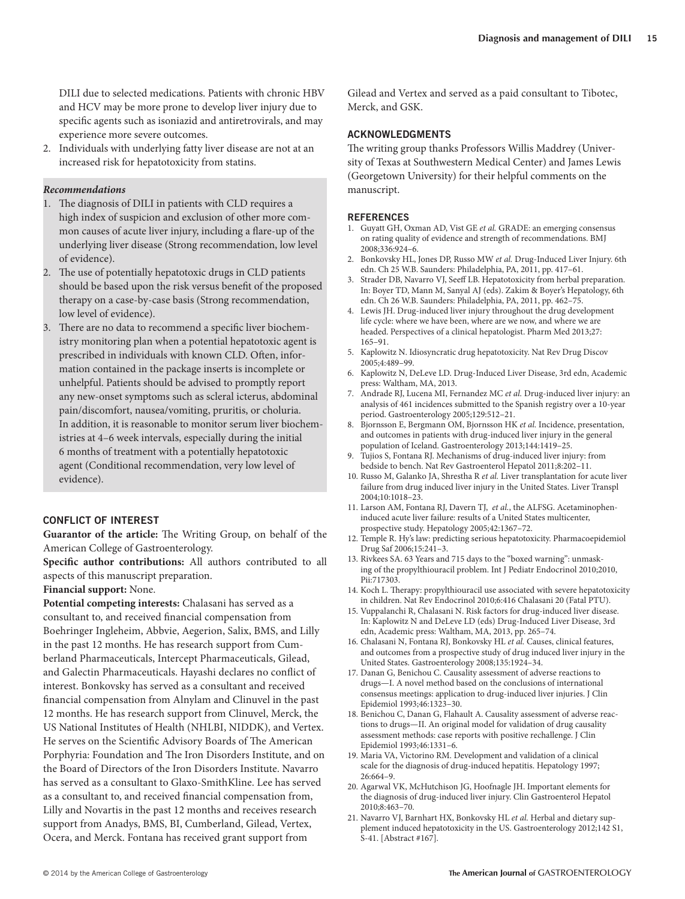DILI due to selected medications. Patients with chronic HBV and HCV may be more prone to develop liver injury due to specific agents such as isoniazid and antiretrovirals, and may experience more severe outcomes.

 2. Individuals with underlying fatty liver disease are not at an increased risk for hepatotoxicity from statins.

# *Recommendations*

- 1. The diagnosis of DILI in patients with CLD requires a high index of suspicion and exclusion of other more common causes of acute liver injury, including a flare-up of the underlying liver disease (Strong recommendation, low level of evidence).
- 2. The use of potentially hepatotoxic drugs in CLD patients should be based upon the risk versus benefit of the proposed therapy on a case-by-case basis (Strong recommendation, low level of evidence).
- 3. There are no data to recommend a specific liver biochemistry monitoring plan when a potential hepatotoxic agent is prescribed in individuals with known CLD. Often, information contained in the package inserts is incomplete or unhelpful. Patients should be advised to promptly report any new-onset symptoms such as scleral icterus, abdominal pain/discomfort, nausea/vomiting, pruritis, or choluria. In addition, it is reasonable to monitor serum liver biochemistries at 4-6 week intervals, especially during the initial 6 months of treatment with a potentially hepatotoxic agent (Conditional recommendation, very low level of evidence).

# **CONFLICT OF INTEREST**

Guarantor of the article: The Writing Group, on behalf of the American College of Gastroenterology.

Specific author contributions: All authors contributed to all aspects of this manuscript preparation.

# **Financial support:** None.

**Potential competing interests:** Chalasani has served as a consultant to, and received financial compensation from Boehringer Ingleheim, Abbvie, Aegerion, Salix, BMS, and Lilly in the past 12 months. He has research support from Cumberland Pharmaceuticals, Intercept Pharmaceuticals, Gilead, and Galectin Pharmaceuticals. Hayashi declares no conflict of interest. Bonkovsky has served as a consultant and received financial compensation from Alnylam and Clinuvel in the past 12 months. He has research support from Clinuvel, Merck, the US National Institutes of Health (NHLBI, NIDDK), and Vertex. He serves on the Scientific Advisory Boards of The American Porphyria: Foundation and The Iron Disorders Institute, and on the Board of Directors of the Iron Disorders Institute. Navarro has served as a consultant to Glaxo-SmithKline. Lee has served as a consultant to, and received financial compensation from, Lilly and Novartis in the past 12 months and receives research support from Anadys, BMS, BI, Cumberland, Gilead, Vertex, Ocera, and Merck. Fontana has received grant support from

Gilead and Vertex and served as a paid consultant to Tibotec, Merck, and GSK.

# **ACKNOWLEDGMENTS**

The writing group thanks Professors Willis Maddrey (University of Texas at Southwestern Medical Center) and James Lewis (Georgetown University) for their helpful comments on the manuscript.

#### **REFERENCES**

- 1. Guyatt GH, Oxman AD, Vist GE et al. GRADE: an emerging consensus on rating quality of evidence and strength of recommendations . BMJ 2008 ; 336 : 924 – 6 .
- 2. Bonkovsky HL, Jones DP, Russo MW *et al.* Drug-Induced Liver Injury. 6th edn. Ch 25 W.B. Saunders: Philadelphia, PA, 2011, pp. 417-61.
- 3. Strader DB, Navarro VI, Seeff LB. Hepatotoxicity from herbal preparation. In: Boyer TD, Mann M, Sanyal AJ (eds). Zakim & Boyer's Hepatology , 6th edn. Ch 26 W.B. Saunders: Philadelphia, PA, 2011, pp. 462-75.
- 4. Lewis JH. Drug-induced liver injury throughout the drug development life cycle: where we have been, where are we now, and where we are headed. Perspectives of a clinical hepatologist. Pharm Med 2013;27:  $165 - 91.$
- 5. Kaplowitz N. Idiosyncratic drug hepatotoxicity. Nat Rev Drug Discov 2005;4:489-99.
- 6. Kaplowitz N, DeLeve LD. Drug-Induced Liver Disease, 3rd edn, Academic press: Waltham, MA, 2013.
- 7. Andrade RJ, Lucena MI, Fernandez MC et al. Drug-induced liver injury: an analysis of 461 incidences submitted to the Spanish registry over a 10-year period. Gastroenterology 2005;129:512-21.
- 8. Bjornsson E, Bergmann OM, Bjornsson HK et al. Incidence, presentation, and outcomes in patients with drug-induced liver injury in the general population of Iceland. Gastroenterology 2013;144:1419-25.
- 9. Tujios S, Fontana RJ. Mechanisms of drug-induced liver injury: from bedside to bench. Nat Rev Gastroenterol Hepatol 2011;8:202-11.
- 10. Russo M, Galanko JA, Shrestha R et al. Liver transplantation for acute liver failure from drug induced liver injury in the United States. Liver Transpl 2004 ; 10 : 1018 – 23 .
- 11. Larson AM, Fontana RJ, Davern TJ, et al., the ALFSG. Acetaminopheninduced acute liver failure: results of a United States multicenter, prospective study. Hepatology 2005;42:1367-72.
- 12 . Temple R . Hy's law: predicting serious hepatotoxicity . Pharmacoepidemiol Drug Saf 2006;15:241-3.
- 13. Rivkees SA. 63 Years and 715 days to the "boxed warning": unmasking of the propylthiouracil problem. Int J Pediatr Endocrinol 2010;2010, Pii: 717303.
- 14. Koch L. Therapy: propylthiouracil use associated with severe hepatotoxicity in children. Nat Rev Endocrinol 2010;6:416 Chalasani 20 (Fatal PTU).
- 15. Vuppalanchi R, Chalasani N. Risk factors for drug-induced liver disease. In: Kaplowitz N and DeLeve LD (eds) Drug-Induced Liver Disease, 3rd edn, Academic press: Waltham, MA, 2013, pp. 265-74.
- 16. Chalasani N, Fontana RJ, Bonkovsky HL et al. Causes, clinical features, and outcomes from a prospective study of drug induced liver injury in the United States. Gastroenterology 2008;135:1924-34.
- 17. Danan G, Benichou C. Causality assessment of adverse reactions to drugs-I. A novel method based on the conclusions of international consensus meetings: application to drug-induced liver injuries . J Clin Epidemiol 1993;46:1323-30.
- 18. Benichou C, Danan G, Flahault A. Causality assessment of adverse reactions to drugs — II. An original model for validation of drug causality assessment methods: case reports with positive rechallenge . J Clin Epidemiol 1993;46:1331-6.
- 19 . Maria VA , Victorino RM . Development and validation of a clinical scale for the diagnosis of drug-induced hepatitis. Hepatology 1997;  $26:664 - 9$
- 20 . Agarwal VK , McHutchison JG , Hoofnagle JH . Important elements for the diagnosis of drug-induced liver injury . Clin Gastroenterol Hepatol  $2010 : 8 \cdot 463 - 70$ .
- 21. Navarro VJ, Barnhart HX, Bonkovsky HL et al. Herbal and dietary supplement induced hepatotoxicity in the US. Gastroenterology 2012;142 S1, S-41. [Abstract #167].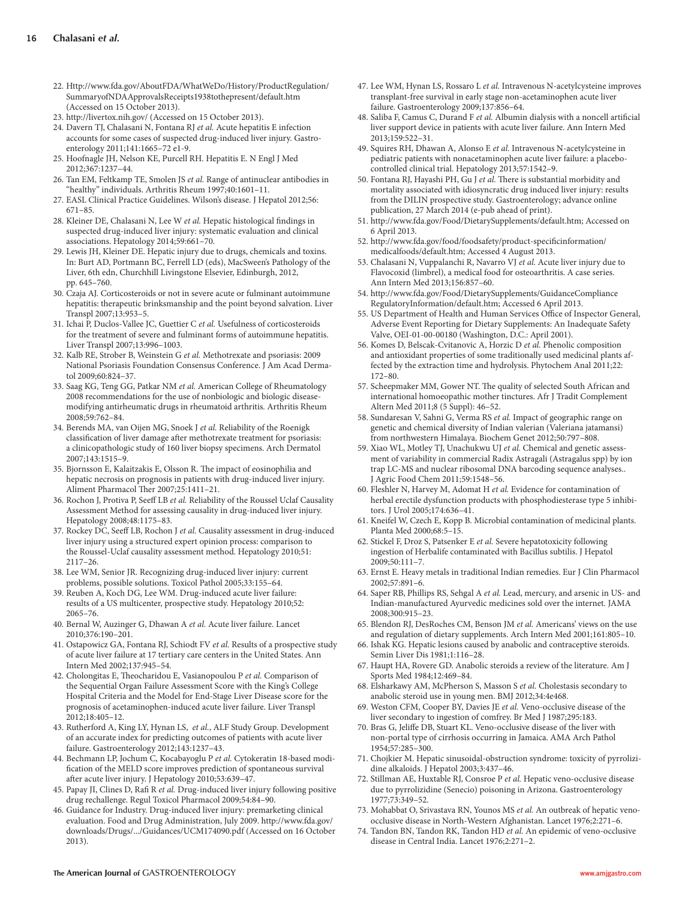- 22 . Http://www.fda.gov/AboutFDA/WhatWeDo/History/ProductRegulation/ SummaryofNDAApprovalsReceipts1938tothepresent/default.htm (Accessed on 15 October 2013) .
- 23 . http://livertox.nih.gov/ (Accessed on 15 October 2013) .
- 24. Davern TJ, Chalasani N, Fontana RJ et al. Acute hepatitis E infection accounts for some cases of suspected drug-induced liver injury . Gastroenterology 2011;141:1665-72 e1-9.
- 25. Hoofnagle JH, Nelson KE, Purcell RH. Hepatitis E. N Engl J Med 2012;367:1237-44.
- 26 . Tan EM , Feltkamp TE , Smolen JS *et al.* Range of antinuclear antibodies in "healthy" individuals. Arthritis Rheum 1997;40:1601-11.
- 27. EASL Clinical Practice Guidelines. Wilson's disease. J Hepatol 2012;56:  $671 - 85$
- 28. Kleiner DE, Chalasani N, Lee W et al. Hepatic histological findings in suspected drug-induced liver injury: systematic evaluation and clinical associations. Hepatology 2014;59:661-70.
- 29. Lewis JH, Kleiner DE. Hepatic injury due to drugs, chemicals and toxins. In: Burt AD, Portmann BC, Ferrell LD (eds), MacSween's Pathology of the Liver, 6th edn, Churchhill Livingstone Elsevier, Edinburgh, 2012, pp. 645-760.
- 30. Czaja AJ. Corticosteroids or not in severe acute or fulminant autoimmune hepatitis: therapeutic brinksmanship and the point beyond salvation. Liver Transpl 2007;13:953-5.
- 31. Ichai P, Duclos-Vallee JC, Guettier C et al. Usefulness of corticosteroids for the treatment of severe and fulminant forms of autoimmune hepatitis . Liver Transpl 2007;13:996-1003.
- 32. Kalb RE, Strober B, Weinstein G et al. Methotrexate and psoriasis: 2009 National Psoriasis Foundation Consensus Conference . J Am Acad Dermatol 2009;60:824-37.
- 33 . Saag KG , Teng GG , Patkar NM *et al.* American College of Rheumatology 2008 recommendations for the use of nonbiologic and biologic diseasemodifying antirheumatic drugs in rheumatoid arthritis . Arthritis Rheum 2008:59:762-84.
- 34 . Berends MA , van Oijen MG , Snoek J *et al.* Reliability of the Roenigk classification of liver damage after methotrexate treatment for psoriasis: a clinicopathologic study of 160 liver biopsy specimens . Arch Dermatol 2007;143:1515-9.
- 35. Bjornsson E, Kalaitzakis E, Olsson R. The impact of eosinophilia and hepatic necrosis on prognosis in patients with drug-induced liver injury. Aliment Pharmacol Ther 2007;25:1411-21.
- 36. Rochon J, Protiva P, Seeff LB et al. Reliability of the Roussel Uclaf Causality Assessment Method for assessing causality in drug-induced liver injury . Hepatology 2008;48:1175-83.
- 37 . Rockey DC , Seeff LB , Rochon J *et al.* Causality assessment in drug-induced liver injury using a structured expert opinion process: comparison to the Roussel-Uclaf causality assessment method. Hepatology 2010;51:  $2117 - 26$
- 38. Lee WM, Senior JR. Recognizing drug-induced liver injury: current problems, possible solutions. Toxicol Pathol 2005;33:155-64.
- 39. Reuben A, Koch DG, Lee WM. Drug-induced acute liver failure: results of a US multicenter, prospective study. Hepatology 2010;52:  $2065 - 76$ .
- 40. Bernal W, Auzinger G, Dhawan A et al. Acute liver failure. Lancet 2010;376:190-201.
- 41. Ostapowicz GA, Fontana RJ, Schiodt FV et al. Results of a prospective study of acute liver failure at 17 tertiary care centers in the United States . Ann Intern Med 2002;137:945-54.
- 42. Cholongitas E, Theocharidou E, Vasianopoulou P et al. Comparison of the Sequential Organ Failure Assessment Score with the King's College Hospital Criteria and the Model for End-Stage Liver Disease score for the prognosis of acetaminophen-induced acute liver failure. Liver Transpl 2012:18:405-12.
- 43. Rutherford A, King LY, Hynan LS, et al., ALF Study Group. Development of an accurate index for predicting outcomes of patients with acute liver failure. Gastroenterology 2012;143:1237-43.
- 44 . Bechmann LP , Jochum C , Kocabayoglu P *et al.* Cytokeratin 18-based modification of the MELD score improves prediction of spontaneous survival after acute liver injury. J Hepatology 2010;53:639-47.
- 45. Papay JI, Clines D, Rafi R et al. Drug-induced liver injury following positive drug rechallenge. Regul Toxicol Pharmacol 2009;54:84-90.
- 46. Guidance for Industry. Drug-induced liver injury: premarketing clinical evaluation. Food and Drug Administration, July 2009. http://www.fda.gov/ downloads/Drugs/.../Guidances/UCM174090.pdf (Accessed on 16 October 2013) .
- 47. Lee WM, Hynan LS, Rossaro L et al. Intravenous N-acetylcysteine improves transplant-free survival in early stage non-acetaminophen acute liver failure. Gastroenterology 2009;137:856-64.
- 48. Saliba F, Camus C, Durand F et al. Albumin dialysis with a noncell artificial liver support device in patients with acute liver failure . Ann Intern Med 2013:159:522-31.
- 49. Squires RH, Dhawan A, Alonso E et al. Intravenous N-acetylcysteine in pediatric patients with nonacetaminophen acute liver failure: a placebocontrolled clinical trial. Hepatology 2013;57:1542-9.
- 50. Fontana RJ, Hayashi PH, Gu J et al. There is substantial morbidity and mortality associated with idiosyncratic drug induced liver injury: results from the DILIN prospective study . Gastroenterology; advance online publication, 27 March 2014 (e-pub ahead of print).
- 51. http://www.fda.gov/Food/DietarySupplements/default.htm; Accessed on 6 April 2013 .
- 52. http://www.fda.gov/food/foodsafety/product-specificinformation/ medicalfoods/default.htm; Accessed 4 August 2013.
- 53. Chalasani N, Vuppalanchi R, Navarro VJ et al. Acute liver injury due to Flavocoxid (limbrel), a medical food for osteoarthritis. A case series . Ann Intern Med 2013;156:857-60.
- 54 . http://www.fda.gov/Food/DietarySupplements/GuidanceCompliance RegulatoryInformation/default.htm; Accessed 6 April 2013.
- 55. US Department of Health and Human Services Office of Inspector General, Adverse Event Reporting for Dietary Supplements: An Inadequate Safety Valve, OEI-01-00-00180 (Washington, D.C.: April 2001).
- 56. Komes D, Belscak-Cvitanovic A, Horzic D et al. Phenolic composition and antioxidant properties of some traditionally used medicinal plants affected by the extraction time and hydrolysis. Phytochem Anal 2011;22:  $172 - 80.$
- 57. Scheepmaker MM, Gower NT. The quality of selected South African and international homoeopathic mother tinctures . Afr J Tradit Complement Altern Med 2011;8 (5 Suppl): 46-52.
- 58. Sundaresan V, Sahni G, Verma RS et al. Impact of geographic range on genetic and chemical diversity of Indian valerian (Valeriana jatamansi) from northwestern Himalaya. Biochem Genet 2012;50:797-808.
- 59. Xiao WL, Motley TJ, Unachukwu UJ et al. Chemical and genetic assessment of variability in commercial Radix Astragali (Astragalus spp) by ion trap LC-MS and nuclear ribosomal DNA barcoding sequence analyses. . J Agric Food Chem 2011;59:1548-56.
- 60. Fleshler N, Harvey M, Adomat H et al. Evidence for contamination of herbal erectile dysfunction products with phosphodiesterase type 5 inhibitors. J Urol 2005;174:636-41.
- 61. Kneifel W, Czech E, Kopp B. Microbial contamination of medicinal plants. Planta Med 2000;68:5-15.
- 62. Stickel F, Droz S, Patsenker E et al. Severe hepatotoxicity following ingestion of Herbalife contaminated with Bacillus subtilis . J Hepatol  $2009:50:111 - 7$ .
- 63 . Ernst E . Heavy metals in traditional Indian remedies . Eur J Clin Pharmacol 2002:57:891-6.
- 64 . Saper RB , Phillips RS , Sehgal A *et al.* Lead, mercury, and arsenic in US- and Indian-manufactured Ayurvedic medicines sold over the internet . JAMA 2008;300:915-23.
- 65. Blendon RJ, DesRoches CM, Benson JM et al. Americans' views on the use and regulation of dietary supplements. Arch Intern Med 2001;161:805-10.
- 66 . Ishak KG . Hepatic lesions caused by anabolic and contraceptive steroids . Semin Liver Dis 1981;1:116-28.
- 67 . Haupt HA , Rovere GD . Anabolic steroids a review of the literature . Am J Sports Med 1984;12:469-84.
- 68 . Elsharkawy AM , McPherson S , Masson S *et al.* Cholestasis secondary to anabolic steroid use in young men. BMJ 2012;34:4e468.
- 69 . Weston CFM , Cooper BY , Davies JE *et al.* Veno-occlusive disease of the liver secondary to ingestion of comfrey. Br Med J 1987;295:183.
- 70. Bras G, Jeliffe DB, Stuart KL. Veno-occlusive disease of the liver with non-portal type of cirrhosis occurring in Jamaica . AMA Arch Pathol 1954;57:285-300.
- 71. Chojkier M. Hepatic sinusoidal-obstruction syndrome: toxicity of pyrrolizidine alkaloids. J Hepatol 2003;3:437-46.
- Stillman AE, Huxtable RJ, Consroe P et al. Hepatic veno-occlusive disease due to pyrrolizidine (Senecio) poisoning in Arizona . Gastroenterology 1977;73:349-52.
- 73. Mohabbat O, Srivastava RN, Younos MS et al. An outbreak of hepatic venoocclusive disease in North-Western Afghanistan. Lancet 1976;2:271-6.
- 74. Tandon BN, Tandon RK, Tandon HD et al. An epidemic of veno-occlusive disease in Central India. Lancet 1976;2:271-2.